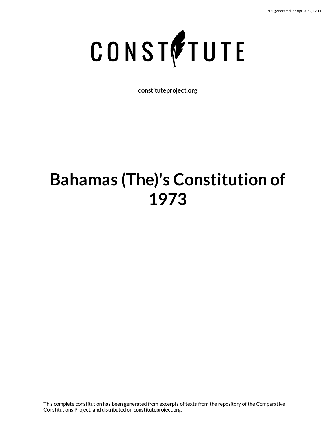

**constituteproject.org**

# **Bahamas (The)'s Constitution of 1973**

This complete constitution has been generated from excerpts of texts from the repository of the Comparative Constitutions Project, and distributed on **constituteproject.org**.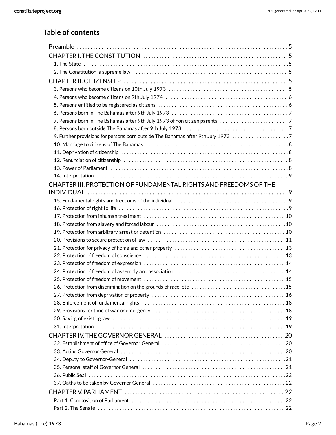### **Table of contents**

| 9. Further provisions for persons born outside The Bahamas after 9th July 1973 7                                                                                                                                               |
|--------------------------------------------------------------------------------------------------------------------------------------------------------------------------------------------------------------------------------|
|                                                                                                                                                                                                                                |
|                                                                                                                                                                                                                                |
|                                                                                                                                                                                                                                |
|                                                                                                                                                                                                                                |
|                                                                                                                                                                                                                                |
| CHAPTER III. PROTECTION OF FUNDAMENTAL RIGHTS AND FREEDOMS OF THE                                                                                                                                                              |
|                                                                                                                                                                                                                                |
|                                                                                                                                                                                                                                |
|                                                                                                                                                                                                                                |
|                                                                                                                                                                                                                                |
|                                                                                                                                                                                                                                |
|                                                                                                                                                                                                                                |
|                                                                                                                                                                                                                                |
|                                                                                                                                                                                                                                |
|                                                                                                                                                                                                                                |
|                                                                                                                                                                                                                                |
|                                                                                                                                                                                                                                |
| 25. Protection of freedom of movement (and the content of the content of the content of the content of the content of the content of the content of the content of the content of the content of the content of the content of |
|                                                                                                                                                                                                                                |
|                                                                                                                                                                                                                                |
|                                                                                                                                                                                                                                |
|                                                                                                                                                                                                                                |
|                                                                                                                                                                                                                                |
|                                                                                                                                                                                                                                |
|                                                                                                                                                                                                                                |
|                                                                                                                                                                                                                                |
|                                                                                                                                                                                                                                |
|                                                                                                                                                                                                                                |
|                                                                                                                                                                                                                                |
|                                                                                                                                                                                                                                |
|                                                                                                                                                                                                                                |
|                                                                                                                                                                                                                                |
|                                                                                                                                                                                                                                |
|                                                                                                                                                                                                                                |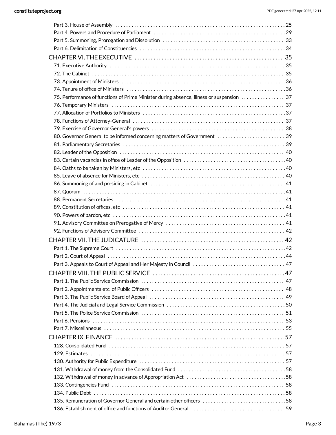| 75. Performance of functions of Prime Minister during absence, illness or suspension  37 |  |
|------------------------------------------------------------------------------------------|--|
|                                                                                          |  |
|                                                                                          |  |
|                                                                                          |  |
|                                                                                          |  |
|                                                                                          |  |
|                                                                                          |  |
|                                                                                          |  |
|                                                                                          |  |
|                                                                                          |  |
|                                                                                          |  |
|                                                                                          |  |
|                                                                                          |  |
|                                                                                          |  |
|                                                                                          |  |
|                                                                                          |  |
|                                                                                          |  |
|                                                                                          |  |
|                                                                                          |  |
|                                                                                          |  |
|                                                                                          |  |
|                                                                                          |  |
|                                                                                          |  |
|                                                                                          |  |
|                                                                                          |  |
|                                                                                          |  |
|                                                                                          |  |
|                                                                                          |  |
|                                                                                          |  |
|                                                                                          |  |
|                                                                                          |  |
|                                                                                          |  |
|                                                                                          |  |
|                                                                                          |  |
|                                                                                          |  |
|                                                                                          |  |
|                                                                                          |  |
|                                                                                          |  |
| 135. Remuneration of Governor General and certain other officers 58                      |  |
|                                                                                          |  |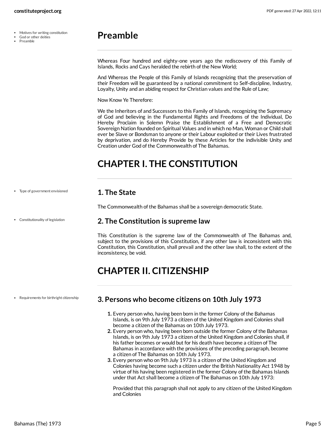- Motives for writing constitution
- God or other deities

### <span id="page-4-0"></span>**Preamble**

Whereas Four hundred and eighty-one years ago the rediscovery of this Family of Islands, Rocks and Cays heralded the rebirth of the New World;

And Whereas the People of this Family of Islands recognizing that the preservation of their Freedom will be guaranteed by a national commitment to Self-discipline, Industry, Loyalty, Unity and an abiding respect for Christian values and the Rule of Law;

Now Know Ye Therefore:

We the Inheritors of and Successors to this Family of Islands, recognizing the Supremacy of God and believing in the Fundamental Rights and Freedoms of the Individual, Do Hereby Proclaim in Solemn Praise the Establishment of a Free and Democratic Sovereign Nation founded on Spiritual Values and in which no Man, Woman or Child shall ever be Slave or Bondsman to anyone or their Labour exploited or their Lives frustrated by deprivation, and do Hereby Provide by these Articles for the indivisible Unity and Creation under God of the Commonwealth of The Bahamas.

## <span id="page-4-1"></span>**CHAPTER I. THE CONSTITUTION**

#### <span id="page-4-2"></span>**1. The State**

The Commonwealth of the Bahamas shall be a sovereign democratic State.

#### <span id="page-4-3"></span>**2. The Constitution is supreme law**

This Constitution is the supreme law of the Commonwealth of The Bahamas and, subject to the provisions of this Constitution, if any other law is inconsistent with this Constitution, this Constitution, shall prevail and the other law shall, to the extent of the inconsistency, be void.

## <span id="page-4-4"></span>**CHAPTER II. CITIZENSHIP**

Requirements for birthright citizenship

Type of government envisioned

Constitutionality of legislation

#### <span id="page-4-5"></span>**3. Persons who become citizens on 10th July 1973**

- **1.** Every person who, having been born in the former Colony of the Bahamas Islands, is on 9th July 1973 a citizen of the United Kingdom and Colonies shall become a citizen of the Bahamas on 10th July 1973.
- **2.** Every person who, having been born outside the former Colony of the Bahamas Islands, is on 9th July 1973 a citizen of the United Kingdom and Colonies shall, if his father becomes or would but for his death have become a citizen of The Bahamas in accordance with the provisions of the preceding paragraph, become a citizen of The Bahamas on 10th July 1973.
- **3.** Every person who on 9th July 1973 is a citizen of the United Kingdom and Colonies having become such a citizen under the British Nationality Act 1948 by virtue of his having been registered in the former Colony of the Bahamas Islands under that Act shall become a citizen of The Bahamas on 10th July 1973:

Provided that this paragraph shall not apply to any citizen of the United Kingdom and Colonies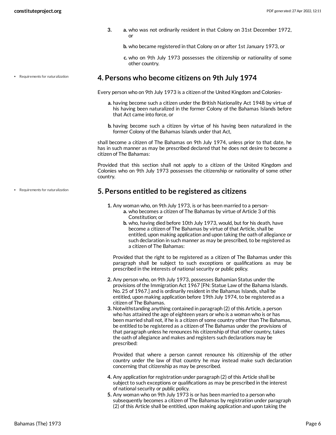- **3. a.** who was not ordinarily resident in that Colony on 31st December 1972, or
	- **b.** who became registered in that Colony on or after 1st January 1973, or
	- **c.** who on 9th July 1973 possesses the citizenship or nationality of some other country.

### <span id="page-5-0"></span>**4. Persons who become citizens on 9th July 1974**

Every person who on 9th July 1973 is a citizen of the United Kingdom and Colonies-

- **a.** having become such a citizen under the British Nationality Act 1948 by virtue of his having been naturalized in the former Colony of the Bahamas Islands before that Act came into force, or
- **b.** having become such a citizen by virtue of his having been naturalized in the former Colony of the Bahamas Islands under that Act,

shall become a citizen of The Bahamas on 9th July 1974, unless prior to that date, he has in such manner as may be prescribed declared that he does not desire to become a citizen of The Bahamas:

Provided that this section shall not apply to a citizen of the United Kingdom and Colonies who on 9th July 1973 possesses the citizenship or nationality of some other country.

### <span id="page-5-1"></span>**5. Persons entitled to be registered as citizens**

- **1.** Any woman who, on 9th July 1973, is or has been married to a person
	- **a.** who becomes a citizen of The Bahamas by virtue of Article 3 of this Constitution; or
		- **b.** who, having died before 10th July 1973, would, but for his death, have become a citizen of The Bahamas by virtue of that Article, shall be entitled, upon making application and upon taking the oath of allegiance or such declaration in such manner as may be prescribed, to be registered as a citizen of The Bahamas:

Provided that the right to be registered as a citizen of The Bahamas under this paragraph shall be subject to such exceptions or qualifications as may be prescribed in the interests of national security or public policy.

- **2.** Any person who, on 9th July 1973, possesses Bahamian Status under the provisions of the Immigration Act 1967 [FN: Statue Law of the Bahama Islands. No. 25 of 1967.] and is ordinarily resident in the Bahamas Islands, shall be entitled, upon making application before 19th July 1974, to be registered as a citizen of The Bahamas.
- **3.** Notwithstanding anything contained in paragraph (2) of this Article, a person who has attained the age of eighteen years or who is a woman who is or has been married shall not, if he is a citizen of some country other than The Bahamas, be entitled to be registered as a citizen of The Bahamas under the provisions of that paragraph unless he renounces his citizenship of that other country, takes the oath of allegiance and makes and registers such declarations may be prescribed:

Provided that where a person cannot renounce his citizenship of the other country under the law of that country he may instead make such declaration concerning that citizenship as may be prescribed.

- **4.** Any application for registration under paragraph (2) of this Article shall be subject to such exceptions or qualifications as may be prescribed in the interest of national security or public policy.
- **5.** Any woman who on 9th July 1973 is or has been married to a person who subsequently becomes a citizen of The Bahamas by registration under paragraph (2) of this Article shall be entitled, upon making application and upon taking the

Requirements for naturalization

Requirements for naturalization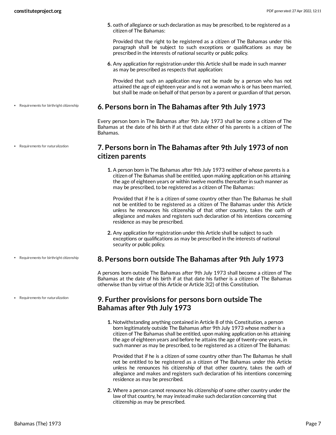**5.** oath of allegiance or such declaration as may be prescribed, to be registered as a citizen of The Bahamas:

Provided that the right to be registered as a citizen of The Bahamas under this paragraph shall be subject to such exceptions or qualifications as may be prescribed in the interests of national security or public policy.

**6.** Any application for registration under this Article shall be made in such manner as may be prescribed as respects that application:

Provided that such an application may not be made by a person who has not attained the age of eighteen year and is not a woman who is or has been married, but shall be made on behalf of that person by a parent or guardian of that person.

#### <span id="page-6-0"></span>**6. Persons born in The Bahamas after 9th July 1973**

Every person born in The Bahamas after 9th July 1973 shall be come a citizen of The Bahamas at the date of his birth if at that date either of his parents is a citizen of The Bahamas.

#### Requirements for naturalization

Requirements for birthright citizenship

• Requirements for naturalization

Requirements for birthright citizenship

#### <span id="page-6-1"></span>**7. Persons born in The Bahamas after 9th July 1973 of non citizen parents**

**1.** A person born in The Bahamas after 9th July 1973 neither of whose parents is a citizen of The Bahamas shall be entitled, upon making application on his attaining the age of eighteen years or within twelve months thereafter in such manner as may be prescribed, to be registered as a citizen of The Bahamas:

Provided that if he is a citizen of some country other than The Bahamas he shall not be entitled to be registered as a citizen of The Bahamas under this Article unless he renounces his citizenship of that other country, takes the oath of allegiance and makes and registers such declaration of his intentions concerning residence as may be prescribed.

**2.** Any application for registration under this Article shall be subject to such exceptions or qualifications as may be prescribed in the interests of national security or public policy.

### <span id="page-6-2"></span>**8. Persons born outside The Bahamas after 9th July 1973**

A persons born outside The Bahamas after 9th July 1973 shall become a citizen of The Bahamas at the date of his birth if at that date his father is a citizen of The Bahamas otherwise than by virtue of this Article or Article 3(2) of this Constitution.

### <span id="page-6-3"></span>**9. Further provisions for persons born outside The Bahamas after 9th July 1973**

**1.** Notwithstanding anything contained in Article 8 of this Constitution, a person born legitimately outside The Bahamas after 9th July 1973 whose mother is a citizen of The Bahamas shall be entitled, upon making application on his attaining the age of eighteen years and before he attains the age of twenty-one years, in such manner as may be prescribed, to be registered as a citizen of The Bahamas:

Provided that if he is a citizen of some country other than The Bahamas he shall not be entitled to be registered as a citizen of The Bahamas under this Article unless he renounces his citizenship of that other country, takes the oath of allegiance and makes and registers such declaration of his intentions concerning residence as may be prescribed.

**2.** Where a person cannot renounce his citizenship of some other country under the law of that country, he may instead make such declaration concerning that citizenship as may be prescribed.

Bahamas (The) 1973 Page 7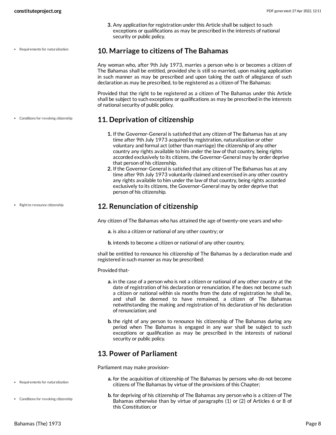**3.** Any application for registration under this Article shall be subject to such exceptions or qualifications as may be prescribed in the interests of national security or public policy.

Requirements for naturalization

Conditions for revoking citizenship

• Right to renounce citizenship

### <span id="page-7-0"></span>**10. Marriage to citizens of The Bahamas**

Any woman who, after 9th July 1973, marries a person who is or becomes a citizen of The Bahamas shall be entitled, provided she is still so married, upon making application in such manner as may be prescribed and upon taking the oath of allegiance of such declaration as may be prescribed, to be registered as a citizen of The Bahamas:

Provided that the right to be registered as a citizen of The Bahamas under this Article shall be subject to such exceptions or qualifications as may be prescribed in the interests of national security of public policy.

### <span id="page-7-1"></span>**11. Deprivation of citizenship**

- **1.** If the Governor-General is satisfied that any citizen of The Bahamas has at any time after 9th July 1973 acquired by registration, naturalization or other voluntary and formal act (other than marriage) the citizenship of any other country any rights available to him under the law of that country, being rights accorded exclusively to its citizens, the Governor-General may by order deprive that person of his citizenship.
- **2.** If the Governor-General is satisfied that any citizen of The Bahamas has at any time after 9th July 1973 voluntarily claimed and exercised in any other country any rights available to him under the law of that country, being rights accorded exclusively to its citizens, the Governor-General may by order deprive that person of his citizenship.

### <span id="page-7-2"></span>**12. Renunciation of citizenship**

Any citizen of The Bahamas who has attained the age of twenty-one years and who-

**a.** is also a citizen or national of any other country; or

**b.** intends to become a citizen or national of any other country,

shall be entitled to renounce his citizenship of The Bahamas by a declaration made and registered in such manner as may be prescribed:

#### Provided that-

- **a.** in the case of a person who is not a citizen or national of any other country at the date of registration of his declaration or renunciation, if he does not become such a citizen or national within six months from the date of registration he shall be, and shall be deemed to have remained, a citizen of The Bahamas notwithstanding the making and registration of his declaration of his declaration of renunciation; and
- **b.** the right of any person to renounce his citizenship of The Bahamas during any period when The Bahamas is engaged in any war shall be subject to such exceptions or qualification as may be prescribed in the interests of national security or public policy.

### <span id="page-7-3"></span>**13. Power of Parliament**

Parliament may make provision-

- **a.** for the acquisition of citizenship of The Bahamas by persons who do not become citizens of The Bahamas by virtue of the provisions of this Chapter;
- **b.** for depriving of his citizenship of The Bahamas any person who is a citizen of The Bahamas otherwise than by virtue of paragraphs (1) or (2) of Articles 6 or 8 of this Constitution; or
- Requirements for naturalization
- Conditions for revoking citizenship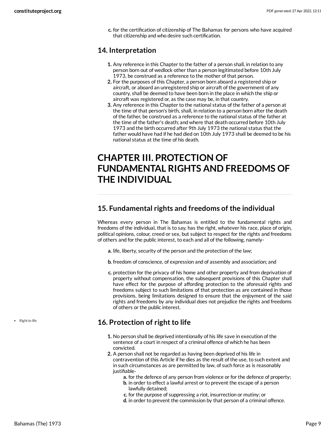**c.** for the certification of citizenship of The Bahamas for persons who have acquired that citizenship and who desire such certification.

### <span id="page-8-0"></span>**14. Interpretation**

- **1.** Any reference in this Chapter to the father of a person shall, in relation to any person born out of wedlock other than a person legitimated before 10th July 1973, be construed as a reference to the mother of that person.
- **2.** For the purposes of this Chapter, a person born aboard a registered ship or aircraft, or aboard an unregistered ship or aircraft of the government of any country, shall be deemed to have been born in the place in which the ship or aircraft was registered or, as the case may be, in that country.
- **3.** Any reference in this Chapter to the national status of the father of a person at the time of that person's birth, shall, in relation to a person born after the death of the father, be construed as a reference to the national status of the father at the time of the father's death; and where that death occurred before 10th July 1973 and the birth occurred after 9th July 1973 the national status that the father would have had if he had died on 10th July 1973 shall be deemed to be his national status at the time of his death.

## <span id="page-8-1"></span>**CHAPTER III. PROTECTION OF FUNDAMENTAL RIGHTS AND FREEDOMS OF THE INDIVIDUAL**

### <span id="page-8-2"></span>**15. Fundamental rights and freedoms of the individual**

Whereas every person in The Bahamas is entitled to the fundamental rights and freedoms of the individual, that is to say, has the right, whatever his race, place of origin, political opinions, colour, creed or sex, but subject to respect for the rights and freedoms of others and for the public interest, to each and all of the following, namely-

- **a.** life, liberty, security of the person and the protection of the law;
- **b.** freedom of conscience, of expression and of assembly and association; and
- **c.** protection for the privacy of his home and other property and from deprivation of property without compensation, the subsequent provisions of this Chapter shall have effect for the purpose of affording protection to the aforesaid rights and freedoms subject to such limitations of that protection as are contained in those provisions, being limitations designed to ensure that the enjoyment of the said rights and freedoms by any individual does not prejudice the rights and freedoms of others or the public interest.

### <span id="page-8-3"></span>**16. Protection of right to life**

- **1.** No person shall be deprived intentionally of his life save in execution of the sentence of a court in respect of a criminal offence of which he has been convicted.
- **2.** A person shall not be regarded as having been deprived of his life in contravention of this Article if he dies as the result of the use, to such extent and in such circumstances as are permitted by law, of such force as is reasonably justifiable
	- **a.** for the defence of any person from violence or for the defence of property;
	- **b.** in order to effect a lawful arrest or to prevent the escape of a person lawfully detained;
	- **c.** for the purpose of suppressing a riot, insurrection or mutiny; or
	- **d.** in order to prevent the commission by that person of a criminal offence.

• Right to life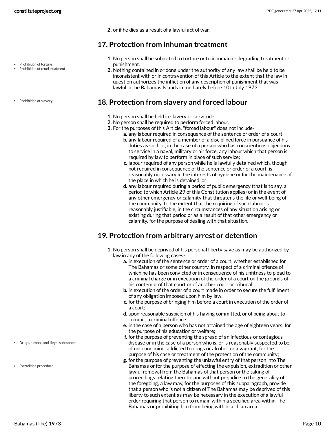**2.** or if he dies as a result of a lawful act of war.

### <span id="page-9-0"></span>**17. Protection from inhuman treatment**

- **1.** No person shall be subjected to torture or to inhuman or degrading treatment or punishment.
- **2.** Nothing contained in or done under the authority of any law shall be held to be inconsistent with or in contravention of this Article to the extent that the law in question authorizes the infliction of any description of punishment that was lawful in the Bahamas Islands immediately before 10th July 1973.

### <span id="page-9-1"></span>**18. Protection from slavery and forced labour**

- **1.** No person shall be held in slavery or servitude.
- **2.** No person shall be required to perform forced labour.
- **3.** For the purposes of this Article, "forced labour" does not include
	- **a.** any labour required in consequence of the sentence or order of a court; **b.** any labour required of a member of a disciplined force in pursuance of his
		- duties as such or, in the case of a person who has conscientious objections to service in a naval, military or air force, any labour which that person is required by law to perform in place of such service;
	- **c.** labour required of any person while he is lawfully detained which, though not required in consequence of the sentence or order of a court, is reasonably necessary in the interests of hygiene or for the maintenance of the place in which he is detained; or
	- **d.** any labour required during a period of public emergency (that is to say, a period to which Article 29 of this Constitution applies) or in the event of any other emergency or calamity that threatens the life or well-being of the community, to the extent that the requiring of such labour is reasonably justifiable, in the circumstances of any situation arising or existing during that period or as a result of that other emergency or calamity, for the purpose of dealing with that situation.

### <span id="page-9-2"></span>**19. Protection from arbitrary arrest or detention**

- **1.** No person shall be deprived of his personal liberty save as may be authorized by law in any of the following cases
	- **a.** in execution of the sentence or order of a court, whether established for The Bahamas or some other country, in respect of a criminal offence of which he has been convicted or in consequence of his unfitness to plead to a criminal charge or in execution of the order of a court on the grounds of his contempt of that court or of another court or tribunal;
	- **b.** in execution of the order of a court made in order to secure the fulfillment of any obligation imposed upon him by law;
	- **c.** for the purpose of bringing him before a court in execution of the order of a court;
	- **d.** upon reasonable suspicion of his having committed, or of being about to commit, a criminal offence;
	- **e.** in the case of a person who has not attained the age of eighteen years, for the purpose of his education or welfare;
	- **f.** for the purpose of preventing the spread of an infectious or contagious disease or in the case of a person who is, or is reasonably suspected to be, of unsound mind, addicted to drugs or alcohol, or a vagrant, for the purpose of his case or treatment of the protection of the community;
	- **g.** for the purpose of preventing the unlawful entry of that person into The Bahamas or for the purpose of effecting the expulsion, extradition or other lawful removal from the Bahamas of that person or the taking of proceedings relating thereto; and without prejudice to the generality of the foregoing, a law may, for the purposes of this subparagraph, provide that a person who is not a citizen of The Bahamas may be deprived of this liberty to such extent as may be necessary in the execution of a lawful order requiring that person to remain within a specified area within The Bahamas or prohibiting him from being within such an area.
- Prohibition of torture
- Prohibition of cruel treatment
- Prohibition of slavery

- Drugs, alcohol, and illegal substances
- Extradition procedure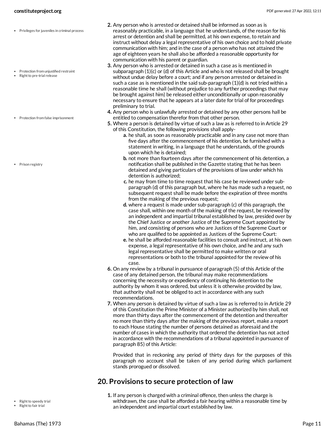- Privileges for juveniles in criminal process
- Protection from unjustified restraint Right to pre-trial release
- Protection from false imprisonment
- Prison registry
- **2.** Any person who is arrested or detained shall be informed as soon as is reasonably practicable, in a language that he understands, of the reason for his arrest or detention and shall be permitted, at his own expense, to retain and instruct without delay a legal representative of his own choice and to hold private communication with him; and in the case of a person who has not attained the age of eighteen years he shall also be afforded a reasonable opportunity for communication with his parent or guardian.
- **3.** Any person who is arrested or detained in such a case as is mentioned in subparagraph (1)(c) or (d) of this Article and who is not released shall be brought without undue delay before a court; and if any person arrested or detained in such a case as is mentioned in the said sub-paragraph (1)(d) is not tried within a reasonable time he shall (without prejudice to any further proceedings that may be brought against him) be released either unconditionally or upon reasonably necessary to ensure that he appears at a later date for trial of for proceedings preliminary to trial.
- **4.** Any person who is unlawfully arrested or detained by any other persons hall be entitled to compensation therefor from that other person.
- **5.** Where a person is detained by virtue of such a law as is referred to in Article 29 of this Constitution, the following provisions shall apply
	- **a.** he shall, as soon as reasonably practicable and in any case not more than five days after the commencement of his detention, be furnished with a statement in writing, in a language that he understands, of the grounds upon which he is detained;
	- **b.** not more than fourteen days after the commencement of his detention, a notification shall be published in the Gazette stating that he has been detained and giving particulars of the provisions of law under which his detention is authorized;
	- **c.** he may from time to time request that his case be reviewed under subparagraph (d) of this paragraph but, where he has made such a request, no subsequent request shall be made before the expiration of three months from the making of the previous request;
	- **d.** where a request is made under sub-paragraph (c) of this paragraph, the case shall, within one month of the making of the request, be reviewed by an independent and impartial tribunal established by law, presided over by the Chief Justice or another Justice of the Supreme Court appointed by him, and consisting of persons who are Justices of the Supreme Court or who are qualified to be appointed as Justices of the Supreme Court:
	- **e.** he shall be afforded reasonable facilities to consult and instruct, at his own expense, a legal representative of his own choice, and he and any such legal representative shall be permitted to make written or oral representations or both to the tribunal appointed for the review of his case.
- **6.** On any review by a tribunal in pursuance of paragraph (5) of this Article of the case of any detained person, the tribunal may make recommendations concerning the necessity or expediency of continuing his detention to the authority by whom it was ordered, but unless it is otherwise provided by law, that authority shall not be obliged to act in accordance with any such recommendations.
- **7.** When any person is detained by virtue of such a law as is referred to in Article 29 of this Constitution the Prime Minister of a Minister authorized by him shall, not more than thirty days after the commencement of the detention and thereafter no more than thirty days after the making of the previous report, make a report to each House stating the number of persons detained as aforesaid and the number of cases in which the authority that ordered the detention has not acted in accordance with the recommendations of a tribunal appointed in pursuance of paragraph 85) of this Article:

Provided that in reckoning any period of thirty days for the purposes of this paragraph no account shall be taken of any period during which parliament stands prorogued or dissolved.

### <span id="page-10-0"></span>**20. Provisions to secure protection of law**

**1.** If any person is charged with a criminal offence, then unless the charge is withdrawn, the case shall be afforded a fair hearing within a reasonable time by an independent and impartial court established by law.

• Right to speedy trial Right to fair trial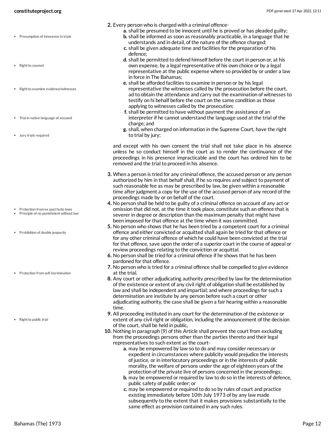- Presumption of innocence in trials
- Right to counsel
- Right to examine evidence/witnesses
- Trial in native language of accused
- Jury trials required

- Protection from ex post facto laws
- Principle of no punishment without law
- Prohibition of double jeopardy
- Protection from self-incrimination
- Right to public trial
- **2.** Every person who is charged with a criminal offence
	- **a.** shall be presumed to be innocent until he is proved or has pleaded guilty; **b.** shall be informed as soon as reasonably practicable, in a language that he
		- understands and in detail, of the nature of the offence charged; **c.** shall be given adequate time and facilities for the preparation of his defence;
		- **d.** shall be permitted to defend himself before the court in person or, at his own expense, by a legal representative of his own choice or by a legal representative at the public expense where so provided by or under a law in force in The Bahamas;
		- **e.** shall be afforded facilities to examine in person or by his legal representative the witnesses called by the prosecution before the court, ad to obtain the attendance and carry out the examination of witnesses to testify on hi behalf before the court on the same condition as those applying to witnesses called by the prosecution;
		- **f.** shall be permitted to have without payment the assistance of an interpreter if he cannot understand the language used at the trial of the charge; and
		- **g.** shall, when charged on information in the Supreme Court, have the right to trial by jury;

and except with his own consent the trial shall not take place in his absence unless he so conduct himself in the court as to render the continuance of the proceedings in his presence impracticable and the court has ordered him to be removed and the trial to proceed in his absence.

- **3.** When a person is tried for any criminal offence, the accused person or any person authorized by him in that behalf shall, if he so requires and subject to payment of such reasonable fee as may be prescribed by law, be given within a reasonable time after judgment a copy for the use of the accused person of any record of the proceedings made by or on behalf of the court.
- **4.** No person shall be held to be guilty of a criminal offence on account of any act or omission that did not, at the time it took place, constitute such an offence that is severer in degree or description than the maximum penalty that might have been imposed for that offence at the time when it was committed.
- **5.** No person who shows that he has been tried by a competent court for a criminal offence and either convicted or acquitted shall again be tried for that offence or for any other criminal offence of which he could have been convicted at the trial for that offence, save upon the order of a superior court in the course of appeal or review proceedings relating to the conviction or acquittal.
- **6.** No person shall be tried for a criminal offence if he shows that he has been pardoned for that offence.
- **7.** No person who is tried for a criminal offence shall be compelled to give evidence at the trial.
- **8.** Any court or other adjudicating authority prescribed by law for the determination of the existence or extent of any civil right of obligation shall be established by law and shall be independent and impartial; and where proceedings for such a determination are institute by any person before such a court or other adjudicating authority, the case shall be given a fair hearing within a reasonable time.
- **9.** All proceeding instituted in any court for the determination of the existence or extent of any civil right or obligation, including the announcement of the decision of the court, shall be held in public,
- **10.** Nothing in paragraph (9) of this Article shall prevent the court from excluding from the proceedings persons other than the parties thereto and their legal representatives to such extent as the court
	- **a.** may be empowered by law so to do and may consider necessary or expedient in circumstances where publicity would prejudice the interests of justice, or in interlocutory proceedings or in the interests of public morality, the welfare of persons under the age of eighteen years of the protection of the private live of persons concerned in the proceedings;
	- **b.** may be empowered or required by law to do so in the interests of defence, public safety of public order; or
	- **c.** may be empowered or required to do so by rules of court and practice existing immediately before 10th July 1973 of by any law made subsequently to the extent that it makes provisions substantially to the same effect as provision contained in any such rules.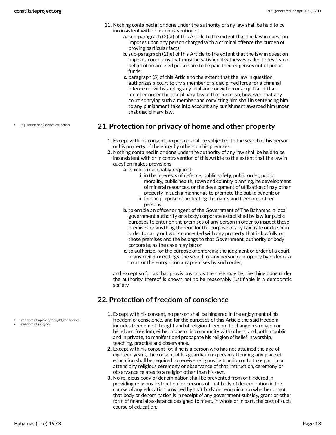- **11.** Nothing contained in or done under the authority of any law shall be held to be inconsistent with or in contravention of
	- **a.** sub-paragraph (2)(a) of this Article to the extent that the law in question imposes upon any person charged with a criminal offence the burden of proving particular facts;
	- **b.** sub-paragraph (2)(e) of this Article to the extent that the law in question imposes conditions that must be satisfied if witnesses called to testify on behalf of an accused person are to be paid their expenses out of public funds;
	- **c.** paragraph (5) of this Article to the extent that the law in question authorizes a court to try a member of a disciplined force for a criminal offence notwithstanding any trial and conviction or acquittal of that member under the disciplinary law of that force, so, however, that any court so trying such a member and convicting him shall in sentencing him to any punishment take into account any punishment awarded him under that disciplinary law.

### <span id="page-12-0"></span>**21. Protection for privacy of home and other property**

- **1.** Except with his consent, no person shall be subjected to the search of his person or his property of the entry by others on his premises.
- **2.** Nothing contained in or done under the authority of any law shall be held to be inconsistent with or in contravention of this Article to the extent that the law in question makes provisions
	- **a.** which is reasonably required
		- **i.** in the interests of defence, public safety, public order, public morality, public health, town and country planning, he development of mineral resources, or the development of utilization of nay other property in such a manner as to promote the public benefit; or
		- **ii.** for the purpose of protecting the rights and freedoms other persons;
	- **b.** to enable an officer or agent of the Government of The Bahamas, a local government authority or a body corporate established by law for public purposes to enter on the premises of any person in order to inspect those premises or anything thereon for the purpose of any tax, rate or due or in order to carry out work connected with any property that is lawfully on those premises and the belongs to that Government, authority or body corporate, as the case may be; or
	- **c.** to authorize, for the purpose of enforcing the judgment or order of a court in any civil proceedings, the search of any person or property by order of a court or the entry upon any premises by such order,

and except so far as that provisions or, as the case may be, the thing done under the authority thereof is shown not to be reasonably justifiable in a democratic society.

### <span id="page-12-1"></span>**22. Protection of freedom of conscience**

- **1.** Except with his consent, no person shall be hindered in the enjoyment of his freedom of conscience, and for the purposes of this Article the said freedom includes freedom of thought and of religion, freedom to change his religion or belief and freedom, either alone or in community with others, and both in public and in private, to manifest and propagate his religion of belief in worship, teaching, practice and observance.
- **2.** Except with his consent (or, if he is a person who has not attained the age of eighteen years, the consent of his guardian) no person attending any place of education shall be required to receive religious instruction or to take part in or attend any religious ceremony or observance of that instruction, ceremony or observance relates to a religion other than his own.
- **3.** No religious body or denomination shall be prevented from or hindered in providing religious instruction for persons of that body of denomination in the course of any education provided by that body or denomination whether or not that body or denomination is in receipt of any government subsidy, grant or other form of financial assistance designed to meet, in whole or in part, the cost of such course of education.

Regulation of evidence collection

- Freedom of opinion/thought/conscience
- Freedom of religion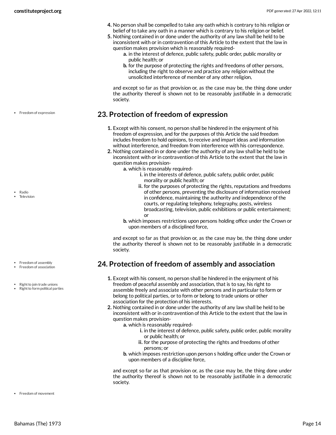• Freedom of expression

- **4.** No person shall be compelled to take any oath which is contrary to his religion or belief of to take any oath in a manner which is contrary to his religion or belief.
- **5.** Nothing contained in or done under the authority of any law shall be held to be inconsistent with or in contravention of this Article to the extent that the law in question makes provision which is reasonably required
	- **a.** in the interest of defence, public safety, public order, public morality or public health; or
	- **b.** for the purpose of protecting the rights and freedoms of other persons, including the right to observe and practice any religion without the unsolicited interference of member of any other religion,

and except so far as that provision or, as the case may be, the thing done under the authority thereof is shown not to be reasonably justifiable in a democratic society.

### <span id="page-13-0"></span>**23. Protection of freedom of expression**

- **1.** Except with his consent, no person shall be hindered in the enjoyment of his freedom of expression, and for the purposes of this Article the said freedom includes freedom to hold opinions, to receive and impart ideas and information without interference, and freedom from interference with his correspondence.
- **2.** Nothing contained in or done under the authority of any law shall be held to be inconsistent with or in contravention of this Article to the extent that the law in question makes provision
	- **a.** which is reasonably required
		- **i.** in the interests of defence, public safety, public order, public morality or public health; or
		- **ii.** for the purposes of protecting the rights, reputations and freedoms of other persons, preventing the disclosure of information received in confidence, maintaining the authority and independence of the courts, or regulating telephony, telegraphy, posts, wireless broadcasting, television, public exhibitions or public entertainment; or

**b.** which imposes restrictions upon persons holding office under the Crown or upon members of a disciplined force,

and except so far as that provision or, as the case may be, the thing done under the authority thereof is shown not to be reasonably justifiable in a democratic society.

### <span id="page-13-1"></span>**24. Protection of freedom of assembly and association**

- **1.** Except with his consent, no person shall be hindered in the enjoyment of his freedom of peaceful assembly and association, that is to say, his right to assemble freely and associate with other persons and in particular to form or belong to political parties, or to form or belong to trade unions or other association for the protection of his interests.
- **2.** Nothing contained in or done under the authority of any law shall be held to be inconsistent with or in contravention of this Article to the extent that the law in question makes provision
	- **a.** which is reasonably required
		- **i.** in the interest of defence, public safety, public order, public morality or public health; or
		- **ii.** for the purpose of protecting the rights and freedoms of other persons; or
	- **b.** which imposes restriction upon person s holding office under the Crown or upon members of a discipline force,

<span id="page-13-2"></span>and except so far as that provision or, as the case may be, the thing done under the authority thereof is shown not to be reasonably justifiable in a democratic society.

Radio Television

- Freedom of assembly Freedom of association
- Right to join trade unions
- Right to form political parties

• Freedom of movement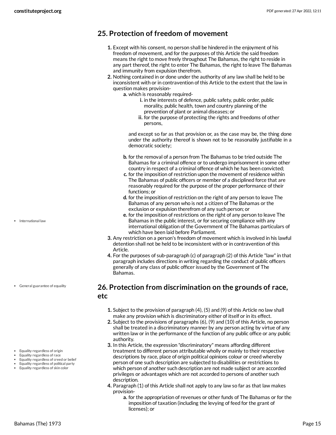### <span id="page-14-0"></span>**25. Protection of freedom of movement**

- **1.** Except with his consent, no person shall be hindered in the enjoyment of his freedom of movement, and for the purposes of this Article the said freedom means the right to move freely throughout The Bahamas, the right to reside in any part thereof, the right to enter The Bahamas, the right to leave The Bahamas and immunity from expulsion therefrom.
- **2.** Nothing contained in or done under the authority of any law shall be held to be inconsistent with or in contravention of this Article to the extent that the law in question makes provision
	- **a.** which is reasonably required
		- **i.** in the interests of defence, public safety, public order, public morality, public health, town and country planning of the prevention of plant or animal diseases; or
		- **ii.** for the purpose of protecting the rights and freedoms of other persons,

and except so far as that provision or, as the case may be, the thing done under the authority thereof is shown not to be reasonably justifiable in a democratic society;

- **b.** for the removal of a person from The Bahamas to be tried outside The Bahamas for a criminal offence or to undergo imprisonment in some other country in respect of a criminal offence of which he has been convicted;
- **c.** for the imposition of restriction upon the movement of residence within The Bahamas of public officers or member of a disciplined force that are reasonably required for the purpose of the proper performance of their functions; or
- **d.** for the imposition of restriction on the right of any person to leave The Bahamas of any person who is not a citizen of The Bahamas or the exclusion or expulsion therefrom of any such person; or
- **e.** for the imposition of restrictions on the right of any person to leave The Bahamas in the public interest, or for securing compliance with any international obligation of the Government of The Bahamas particulars of which have been laid before Parliament.
- **3.** Any restriction on a person's freedom of movement which is involved in his lawful detention shall not be held to be inconsistent with or in contravention of this Article.
- **4.** For the purposes of sub-paragraph (c) of paragraph (2) of this Article "law" in that paragraph includes directions in writing regarding the conduct of public officers generally of any class of public officer issued by the Government of The Bahamas.

### <span id="page-14-1"></span>**26. Protection from discrimination on the grounds of race, etc**

- **1.** Subject to the provision of paragraph (4), (5) and (9) of this Article no law shall make any provision which is discriminatory either of itself or in its effect.
- **2.** Subject to the provisions of paragraphs (6), (9) and (10) of this Article, no person shall be treated in a discriminatory manner by any person acting by virtue of any written law or in the performance of the function of any public office or any public authority.
- **3.** In this Article, the expression "discriminatory" means affording different treatment to different person attributable wholly or mainly to their respective descriptions by race, place of origin political opinions colour or creed whereby person of one such description are subjected to disabilities or restrictions to which person of another such description are not made subject or are accorded privileges or advantages which are not accorded to persons of another such description.
- **4.** Paragraph (1) of this Article shall not apply to any law so far as that law makes provision
	- **a.** for the appropriation of revenues or other funds of The Bahamas or for the imposition of taxation (including the levying of feed for the grant of licenses); or

• International law

General guarantee of equality

- Equality regardless of origin
- Equality regardless of race
- Equality regardless of creed or belief
- Equality regardless of political party Equality regardless of skin color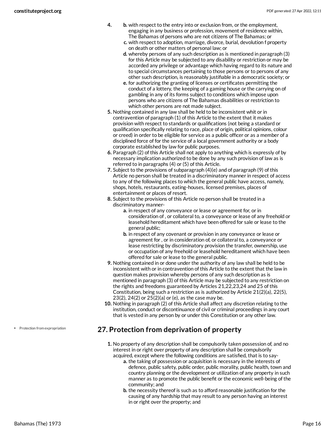- **4. b.** with respect to the entry into or exclusion from, or the employment, engaging in any business or profession, movement of residence within, The Bahamas of persons who are not citizens of The Bahamas; or
	- **c.** with respect to adoption, marriage, divorce, burial, devolution f property on death or other matters of personal law; or
	- **d.** whereby persons of any such description as is mentioned in paragraph (3) for this Article may be subjected to any disability or restriction or may be accorded any privilege or advantage which having regard to its nature and to special circumstances pertaining to those persons or to persons of any other such description, is reasonably justifiable in a democratic society; or
	- **e.** for authorizing the granting of licenses or certificates permitting the conduct of a lottery, the keeping of a gaming house or the carrying on of gambling in any of its forms subject to conditions which impose upon persons who are citizens of The Bahamas disabilities or restriction to which other persons are not made subject.
- **5.** Nothing contained in any law shall be held to be inconsistent whit or in contravention of paragraph (1) of this Article to the extent that it makes provision with respect to standards or qualifications (not being a standard or qualification specifically relating to race, place of origin, political opinions, colour or creed) in order to be eligible for service as a public officer or as a member of a disciplined force of for the service of a local government authority or a body corporate established by law for public purposes.
- **6.** Paragraph (2) of this Article shall not apply to anything which is expressly of by necessary implication authorized to be done by any such provision of law as is referred to in paragraphs (4) or (5) of this Article.
- **7.** Subject to the provisions of subparagraph (4)(e) and of paragraph (9) of this Article no person shall be treated in a discriminatory manner in respect of access to any of the following places to which the general public have access, namely, shops, hotels, restaurants, eating-houses, licensed premises, places of entertainment or places of resort.
- **8.** Subject to the provisions of this Article no person shall be treated in a discriminatory manner
	- **a.** in respect of any conveyance or lease or agreement for, or in consideration of , or collateral to, a conveyance or lease of any freehold or leasehold hereditament which have been offered for sale or lease to the general public;
	- **b.** in respect of any covenant or provision in any conveyance or lease or agreement for , or in consideration of, or collateral to, a conveyance or lease restricting by discriminatory provision the transfer, ownership, use or occupation of any freehold or leasehold hereditament which have been offered for sale or lease to the general public.
- **9.** Nothing contained in or done under the authority of any law shall be held to be inconsistent with or in contravention of this Article to the extent that the law in question makes provision whereby persons of any such description as is mentioned in paragraph (3) of this Article may be subjected to any restriction on the rights and freedoms guaranteed by Articles 21,22,23,24 and 25 of this Constitution, being such a restriction as is authorized by Article 21(2)(a), 22(5), 23(2), 24(2) or 25(2)(a) or (e), as the case may be.
- **10.** Nothing in paragraph (2) of this Article shall affect any discretion relating to the institution, conduct or discontinuance of civil or criminal proceedings in any court that is vested in any person by or under this Constitution or any other law.

### <span id="page-15-0"></span>**27. Protection from deprivation of property**

- **1.** No property of any description shall be compulsorily taken possession of, and no interest in or right over property of any description shall be compulsorily acquired, except where the following conditions are satisfied, that is to say
	- **a.** the taking of possession or acquisition is necessary in the interests of defence, public safety, public order, public morality, public health, town and country planning or the development or utilization of any property in such manner as to promote the public benefit or the economic well-being of the community; and
	- **b.** the necessity thereof is such as to afford reasonable justification for the causing of any hardship that may result to any person having an interest in or right over the property; and

• Protection from expropriation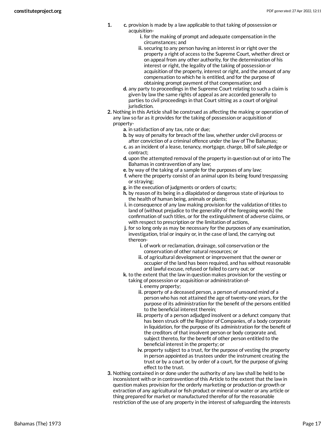- **1. c.** provision is made by a law applicable to that taking of possession or acquisition
	- **i.** for the making of prompt and adequate compensation in the circumstances; and
	- **ii.** securing to any person having an interest in or right over the property a right of access to the Supreme Court, whether direct or on appeal from any other authority, for the determination of his interest or right, the legality of the taking of possession or acquisition of the property, interest or right, and the amount of any compensation to which he is entitled, and for the purpose of obtaining prompt payment of that compensation; and
	- **d.** any party to proceedings in the Supreme Court relating to such a claim is given by law the same rights of appeal as are accorded generally to parties to civil proceedings in that Court sitting as a court of original jurisdiction.
- **2.** Nothing in this Article shall be construed as affecting the making or operation of any law so far as it provides for the taking of possession or acquisition of property
	- **a.** in satisfaction of any tax, rate or due;
	- **b.** by way of penalty for breach of the law, whether under civil process or after conviction of a criminal offence under the law of The Bahamas;
	- **c.** as an incident of a lease, tenancy, mortgage, charge, bill of sale,pledge or contract;
	- **d.** upon the attempted removal of the property in question out of or into The Bahamas in contravention of any law;
	- **e.** by way of the taking of a sample for the purposes of any law;
	- **f.** where the property consist of an animal upon its being found trespassing or straying;
	- **g.** in the execution of judgments or orders of courts;
	- **h.** by reason of its being in a dilapidated or dangerous state of injurious to the health of human being, animals or plants;
	- **i.** in consequence of any law making provision for the validation of titles to land of (without prejudice to the generality of the foregoing words) the confirmation of such titles, or for the extinguishment of adverse claims, or with respect to prescription or the limitation of actions,
	- **j.** for so long only as may be necessary for the purposes of any examination, investigation, trial or inquiry or, in the case of land, the carrying out thereon
		- **i.** of work or reclamation, drainage, soil conservation or the conservation of other natural resources; or
		- **ii.** of agricultural development or improvement that the owner or occupier of the land has been required, and has without reasonable and lawful excuse, refused or failed to carry out; or
	- **k.** to the extent that the law in question makes provision for the vesting or taking of possession or acquisition or administration of
		- **i.** enemy property;
		- **ii.** property of a deceased person, a person of unsound mind of a person who has not attained the age of twenty-one years, for the purpose of its administration for the benefit of the persons entitled to the beneficial interest therein;
		- **iii.** property of a person adjudged insolvent or a defunct company that has been struck off the Register of Companies, of a body corporate in liquidation, for the purpose of its administration for the benefit of the creditors of that insolvent person or body corporate and, subject thereto, for the benefit of other person entitled to the beneficial interest in the property; or
		- **iv.** property subject to a trust, for the purpose of vesting the property in person appointed as trustees under the instrument creating the trust or by a court or, by order of a court, for the purpose of giving effect to the trust.
- **3.** Nothing contained in or done under the authority of any law shall be held to be inconsistent with or in contravention of this Article to the extent that the law in question makes provision for the orderly marketing or production or growth or extraction of any agricultural or fish product or mineral or water or any article or thing prepared for market or manufactured therefor of for the reasonable restriction of the use of any property in the interest of safeguarding the interests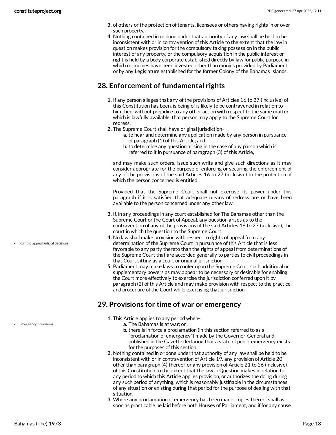- **3.** of others or the protection of tenants, licensees or others having rights in or over such property.
- **4.** Nothing contained in or done under that authority of any law shall be held to be inconsistent with or in contravention of this Article to the extent that the law in question makes provision for the compulsory taking possession in the public interest of any property, or the compulsory acquisition in the public interest or right is held by a body corporate established directly by law for public purpose in which no monies have been invested other than monies provided by Parliament or by any Legislature established for the former Colony of the Bahamas Islands.

### <span id="page-17-0"></span>**28. Enforcement of fundamental rights**

- **1.** If any person alleges that any of the provisions of Articles 16 to 27 (inclusive) of this Constitution has been, is being of is likely to be contravened in relation to him then, without prejudice to any other action with respect to the same matter which is lawfully available, that person may apply to the Supreme Court for redress.
- **2.** The Supreme Court shall have original jurisdiction
	- **a.** to hear and determine any application made by any person in pursuance of paragraph (1) of this Article; and
	- **b.** to determine any question arising in the case of any parson which is referred to it in pursuance of paragraph (3) of this Article,

and may make such orders, issue such writs and give such directions as it may consider appropriate for the purpose of enforcing or securing the enforcement of any of the provisions of the said Articles 16 to 27 (inclusive) to the protection of which the person concerned is entitled:

Provided that the Supreme Court shall not exercise its power under this paragraph if it is satisfied that adequate means of redress are or have been available to the person concerned under any other law.

- **3.** If, in any proceedings in any court established for The Bahamas other than the Supreme Court or the Court of Appeal, any question arises as to the contravention of any of the provisions of the said Articles 16 to 27 (inclusive), the court in which the question to the Supreme Court.
- **4.** No law shall make provision with respect to rights of appeal from any determination of the Supreme Court in pursuance of this Article that is less favorable to any party thereto than the rights of appeal from determinations of the Supreme Court that are accorded generally to parties to civil proceedings in that Court sitting as a court or original jurisdiction.
- **5.** Parliament may make laws to confer upon the Supreme Court such additional or supplementary powers as may appear to be necessary or desirable for enabling the Court more effectively to exercise the jurisdiction conferred upon it by paragraph (2) of this Article and may make provision with respect to the practice and procedure of the Court while exercising that jurisdiction.

### <span id="page-17-1"></span>**29. Provisions for time of war or emergency**

- **1.** This Article applies to any period when
	- **a.** The Bahamas is at war; or
	- **b.** there is in force a proclamation (in this section referred to as a "proclamation of emergency") made by the Governor-General and published in the Gazette declaring that a state of public emergency exists for the purposes of this section.
- **2.** Nothing contained in or done under that authority of any law shall be held to be inconsistent with or in contravention of Article 19, any provision of Article 20 other than paragraph (4) thereof, or any provision of Article 21 to 26 (inclusive) of this Constitution to the extent that the law in Question makes in relation to any period to which this Article applies provision, or authorizes the doing during any such period of anything, which is reasonably justifiable in the circumstances of any situation or existing during that period for the purpose of dealing with that situation.
- **3.** Where any proclamation of emergency has been made, copies thereof shall as soon as practicable be laid before both Houses of Parliament, and if for any cause

• Right to appeal judicial decisions

• Emergency provisions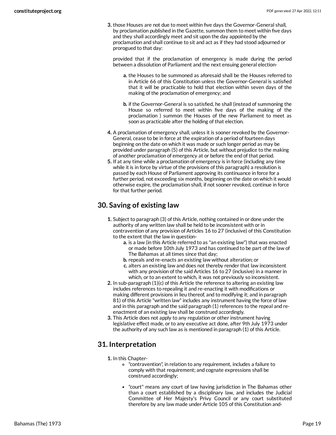**3.** those Houses are not due to meet within five days the Governor-General shall, by proclamation published in the Gazette, summon them to meet within five days and they shall accordingly meet and sit upon the day appointed by the proclamation and shall continue to sit and act as if they had stood adjourned or prorogued to that day:

provided that if the proclamation of emergency is made during the period between a dissolution of Parliament and the next ensuing general election-

- **a.** the Houses to be summoned as aforesaid shall be the Houses referred to in Article 66 of this Constitution unless the Governor-General is satisfied that it will be practicable to hold that election within seven days of the making of the proclamation of emergency; and
- **b.** if the Governor-General is so satisfied, he shall (instead of summoning the House so referred to meet within five days of the making of the proclamation ) summon the Houses of the new Parliament to meet as soon as practicable after the holding of that election.
- **4.** A proclamation of emergency shall, unless it is sooner revoked by the Governor-General, cease to be in force at the expiration of a period of fourteen days beginning on the date on which it was made or such longer period as may be provided under paragraph (5) of this Article, but without prejudice to the making of another proclamation of emergency at or before the end of that period.
- **5.** If at any time while a proclamation of emergency is in force (including any time while it is in force by virtue of the provisions of this paragraph) a resolution is passed by each House of Parliament approving its continuance in force for a further period, not exceeding six months, beginning on the date on which it would otherwise expire, the proclamation shall, if not sooner revoked, continue in force for that further period.

### <span id="page-18-0"></span>**30. Saving of existing law**

- **1.** Subject to paragraph (3) of this Article, nothing contained in or done under the authority of any written law shall be held to be inconsistent with or in contravention of any provision of Articles 16 to 27 (inclusive) of this Constitution to the extent that the law in question
	- **a.** is a law (in this Article referred to as "an existing law") that was enacted or made before 10th July 1973 and has continued to be part of the law of The Bahamas at all times since that day;
	- **b.** repeals and re-enacts an existing law without alteration; or
	- **c.** alters an existing law and does not thereby render that law inconsistent with any provision of the said Articles 16 to 27 (inclusive) in a manner in which, or to an extent to which, it was not previously so inconsistent.
- **2.** In sub-paragraph (1)(c) of this Article the reference to altering an existing law includes references to repealing it and re-enacting it with modifications or making different provisions in lieu thereof, and to modifying it; and in paragraph 81) of this Article "written law" includes any instrument having the force of law and in this paragraph and the said paragraph (1) references to the repeal and reenactment of an existing law shall be construed accordingly.
- **3.** This Article does not apply to any regulation or other instrument having legislative effect made, or to any executive act done, after 9th July 1973 under the authority of any such law as is mentioned in paragraph (1) of this Article.

### <span id="page-18-1"></span>**31. Interpretation**

- **1.** In this Chapter-
	- "contravention", in relation to any requirement, includes a failure to comply with that requirement; and cognate expressions shall be construed accordingly;
	- "court" means any court of law having jurisdiction in The Bahamas other than a court established by a disciplinary law, and includes the Judicial Committee of Her Majesty's Privy Council or any court substituted therefore by any law made under Article 105 of this Constitution and-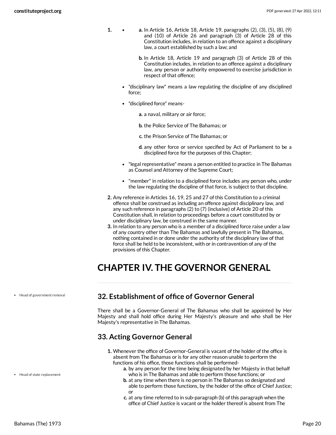- **1. a.** In Article 16, Article 18, Article 19, paragraphs (2), (3), (5), (8), (9) and (10) of Article 26 and paragraph (3) of Article 28 of this Constitution includes, in relation to an offence against a disciplinary law, a court established by such a law; and
	- **b.** In Article 18, Article 19 and paragraph (3) of Article 28 of this Constitution includes, in relation to an offence against a disciplinary law, any person or authority empowered to exercise jurisdiction in respect of that offence;
	- "disciplinary law" means a law regulating the discipline of any disciplined force;
	- "disciplined force" means
		- **a.** a naval, military or air force;
		- **b.** the Police Service of The Bahamas; or
		- **c.** the Prison Service of The Bahamas; or
		- **d.** any other force or service specified by Act of Parliament to be a disciplined force for the purposes of this Chapter;
	- "legal representative" means a person entitled to practice in The Bahamas as Counsel and Attorney of the Supreme Court;
	- "member" in relation to a disciplined force includes any person who, under the law regulating the discipline of that force, is subject to that discipline.
- **2.** Any reference in Articles 16, 19, 25 and 27 of this Constitution to a criminal offence shall be construed as including an offence against disciplinary law, and any such reference in paragraphs (2) to (7) (inclusive) of Article 20 of this Constitution shall, in relation to proceedings before a court constituted by or under disciplinary law, be construed in the same manner.
- **3.** In relation to any person who is a member of a disciplined force raise under a law of any country other than The Bahamas and lawfully present in The Bahamas, nothing contained in or done under the authority of the disciplinary law of that force shall be held to be inconsistent, with or in contravention of any of the provisions of this Chapter.

## <span id="page-19-0"></span>**CHAPTER IV. THE GOVERNOR GENERAL**

Head of government removal

### <span id="page-19-1"></span>**32. Establishment of office of Governor General**

There shall be a Governor-General of The Bahamas who shall be appointed by Her Majesty and shall hold office during Her Majesty's pleasure and who shall be Her Majesty's representative in The Bahamas.

### <span id="page-19-2"></span>**33. Acting Governor General**

- **1.** Whenever the office of Governor-General is vacant of the holder of the office is absent from The Bahamas or is for any other reason unable to perform the functions of his office, those functions shall be performed
	- **a.** by any person for the time being designated by her Majesty in that behalf who is in The Bahamas and able to perform those functions; or
	- **b.** at any time when there is no person in The Bahamas so designated and able to perform those functions, by the holder of the office of Chief Justice; or
	- **c.** at any time referred to in sub-paragraph (b) of this paragraph when the office of Chief Justice is vacant or the holder thereof is absent from The

• Head of state replacement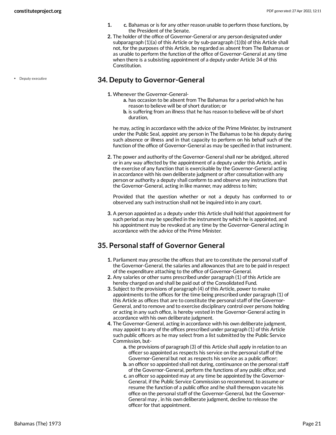- **1. c.** Bahamas or is for any other reason unable to perform those functions, by the President of the Senate.
- **2.** The holder of the office of Governor-General or any person designated under subparagraph (1)(a) of this Article or by sub-paragraph (1)(b) of this Article shall not, for the purposes of this Article, be regarded as absent from The Bahamas or as unable to perform the function of the office of Governor-General at any time when there is a subsisting appointment of a deputy under Article 34 of this Constitution.

### <span id="page-20-0"></span>**34. Deputy to Governor-General**

- **1.** Whenever the Governor-General
	- **a.** has occasion to be absent from The Bahamas for a period which he has reason to believe will be of short duration; or
	- **b.** is suffering from an illness that he has reason to believe will be of short duration,

he may, acting in accordance with the advice of the Prime Minister, by instrument under the Public Seal, appoint any person in The Bahamas to be his deputy during such absence or illness and in that capacity to perform on his behalf such of the function of the office of Governor-General as may be specified in that instrument.

**2.** The power and authority of the Governor-General shall nor be abridged, altered or in any way affected by the appointment of a deputy under this Article, and in the exercise of any function that is exercisable by the Governor-General acting in accordance with his own deliberate judgment or after consultation with any person or authority a deputy shall conform to and observe any instructions that the Governor-General, acting in like manner, may address to him;

Provided that the question whether or not a deputy has conformed to or observed any such instruction shall not be inquired into in any court.

**3.** A person appointed as a deputy under this Article shall hold that appointment for such period as may be specified in the instrument by which he is appointed, and his appointment may be revoked at any time by the Governor-General acting in accordance with the advice of the Prime Minister.

### <span id="page-20-1"></span>**35. Personal staff of Governor General**

- **1.** Parliament may prescribe the offices that are to constitute the personal staff of the Governor-General, the salaries and allowances that are to be paid in respect of the expenditure attaching to the office of Governor-General.
- **2.** Any salaries or other sums prescribed under paragraph (1) of this Article are hereby charged on and shall be paid out of the Consolidated Fund.
- **3.** Subject to the provisions of paragraph (4) of this Article, power to make appointments to the offices for the time being prescribed under paragraph (1) of this Article as offices that are to constitute the personal staff of the Governor-General, and to remove and to exercise disciplinary control over persons holding or acting in any such office, is hereby vested in the Governor-General acting in accordance with his own deliberate judgment.
- **4.** The Governor-General, acting in accordance with his own deliberate judgment, may appoint to any of the offices prescribed under paragraph (1) of this Article such public officers as he may select from a list submitted by the Public Service Commission, but
	- **a.** the provisions of paragraph (3) of this Article shall apply in relation to an officer so appointed as respects his service on the personal staff of the Governor-General but not as respects his service as a public officer;
	- **b.** an officer so appointed shall not during, continuance on the personal staff of the Governor-General, perform the functions of any public office; and
	- **c.** an officer so appointed may at any time be appointed by the Governor-General, if the Public Service Commission so recommend, to assume or resume the function of a public office and he shall thereupon vacate his office on the personal staff of the Governor-General, but the Governor-General may , in his own deliberate judgment, decline to release the officer for that appointment.

Deputy executive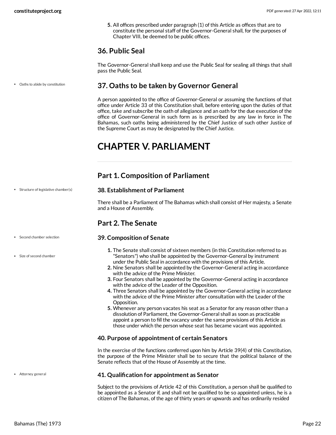**5.** All offices prescribed under paragraph (1) of this Article as offices that are to constitute the personal staff of the Governor-General shall, for the purposes of Chapter VIII, be deemed to be public offices.

### <span id="page-21-0"></span>**36. Public Seal**

The Governor-General shall keep and use the Public Seal for sealing all things that shall pass the Public Seal.

#### Oaths to abide by constitution

### <span id="page-21-1"></span>**37. Oaths to be taken by Governor General**

A person appointed to the office of Governor-General or assuming the functions of that office under Article 33 of this Constitution shall, before entering upon the duties of that office, take and subscribe the oath of allegiance and an oath for the due execution of the office of Governor-General in such form as is prescribed by any law in force in The Bahamas, such oaths being administered by the Chief Justice of such other Justice of the Supreme Court as may be designated by the Chief Justice.

## <span id="page-21-2"></span>**CHAPTER V. PARLIAMENT**

### <span id="page-21-3"></span>**Part 1. Composition of Parliament**

• Structure of legislative chamber(s)

Second chamber selection

Size of second chamber

#### <span id="page-21-7"></span>**38. Establishment of Parliament**

There shall be a Parliament of The Bahamas which shall consist of Her majesty, a Senate and a House of Assembly.

### <span id="page-21-6"></span><span id="page-21-4"></span>**Part 2. The Senate**

#### **39. Composition of Senate**

- **1.** The Senate shall consist of sixteen members (in this Constitution referred to as "Senators") who shall be appointed by the Governor-General by instrument under the Public Seal in accordance with the provisions of this Article.
- **2.** Nine Senators shall be appointed by the Governor-General acting in accordance with the advice of the Prime Minister.
- **3.** Four Senators shall be appointed by the Governor-General acting in accordance with the advice of the Leader of the Opposition.
- **4.** Three Senators shall be appointed by the Governor-General acting in accordance with the advice of the Prime Minister after consultation with the Leader of the Opposition.
- **5.** Whenever any person vacates his seat as a Senator for any reason other than a dissolution of Parliament, the Governor-General shall as soon as practicable appoint a person to fill the vacancy under the same provisions of this Article as those under which the person whose seat has became vacant was appointed.

#### **40. Purpose of appointment of certain Senators**

In the exercise of the functions conferred upon him by Article 39(4) of this Constitution, the purpose of the Prime Minister shall be to secure that the political balance of the Senate reflects that of the House of Assembly at the time.

#### <span id="page-21-5"></span>**41. Qualification for appointment as Senator**

Subject to the provisions of Article 42 of this Constitution, a person shall be qualified to be appointed as a Senator if, and shall not be qualified to be so appointed unless, he is a citizen of The Bahamas, of the age of thirty years or upwards and has ordinarily resided

Attorney general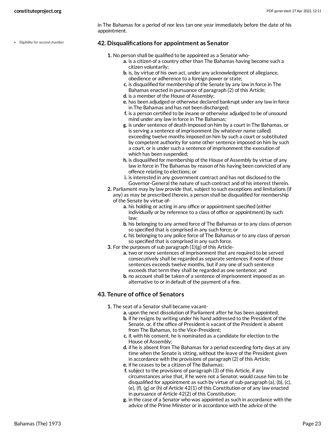Eligibility for second chamber

in The Bahamas for a period of nor less tan one year immediately before the date of his appointment.

#### <span id="page-22-0"></span>**42. Disqualifications for appointment as Senator**

- **1.** No person shall be qualified to be appointed as a Senator who
	- **a.** is a citizen of a country other than The Bahamas having become such a citizen voluntarily;
	- **b.** is, by virtue of his own act, under any acknowledgment of allegiance, obedience or adherence to a foreign power or state;
	- **c.** is disqualified for membership of the Senate by any law in force in The Bahamas enacted in pursuance of paragraph (2) of this Article;
	- **d.** is a member of the House of Assembly;
	- **e.** has been adjudged or otherwise declared bankrupt under any law in force in The Bahamas and has not been discharged;
	- **f.** is a person certified to be insane or otherwise adjudged to be of unsound mind under any law in force in The Bahamas;
	- **g.** is under sentence of death imposed on him by a court in The Bahamas, or is serving a sentence of imprisonment (by whatever name called) exceeding twelve months imposed on him by such a court or substituted by competent authority for some other sentence imposed on him by such a court, or is under such a sentence of imprisonment the execution of which has been suspended;
	- **h.** is disqualified for membership of the House of Assembly by virtue of any law in force in The Bahamas by reason of his having been convicted of any offence relating to elections; or
	- **i.** is interested in any government contract and has not disclosed to the Governor-General the nature of such contract and of his interest therein.
- **2.** Parliament may by law provide that, subject to such exceptions and limitations (if any) as may be prescribed therein, a person shall be disqualified for membership
	- of the Senate by virtue of
		- **a.** his holding or acting in any office or appointment specified (either individually or by reference to a class of office or appointment) by such law;
		- **b.** his belonging to any armed force of The Bahamas or to any class of person so specified that is comprised in any such force; or
		- **c.** his belonging to any police force of The Bahamas or to any class of person so specified that is comprised in any such force.
- **3.** For the purposes of sub paragraph (1)(g) of this Article
	- **a.** two or more sentences of imprisonment that are required to be served consecutively shall be regarded as separate sentences if none of those sentences exceeds twelve months, but if any one of such sentence exceeds that term they shall be regarded as one sentence; and
	- **b.** no account shall be taken of a sentence of imprisonment imposed as an alternative to or in default of the payment of a fine.

#### **43. Tenure of office of Senators**

- **1.** The seat of a Senator shall became vacant
	- **a.** upon the next dissolution of Parliament after he has been appointed; **b.** if he resigns by writing under his hand addressed to the President of the
		- Senate, or, if the office of President is vacant of the President is absent from The Bahamas, to the Vice-President;
		- **c.** if, with his consent, he is nominated as a candidate for election to the House of Assembly;
		- **d.** if he is absent from The Bahamas for a period exceeding forty days at any time when the Senate is sitting, without the leave of the President given in accordance with the provisions of paragraph (2) of this Article;
		- **e.** if he ceases to be a citizen of The Bahamas;
		- **f.** subject to the provisions of paragraph (3) of this Article, if any circumstances arise that, if he were not a Senator, would cause him to be disqualified for appointment as such by virtue of sub-paragraph (a), (b), (c), (e), (f), (g) or (h) of Article 42(1) of this Constitution or of any law enacted in pursuance of Article 42(2) of this Constitution;
		- **g.** in the case of a Senator who was appointed as such in accordance with the advice of the Prime Minister or in accordance with the advice of the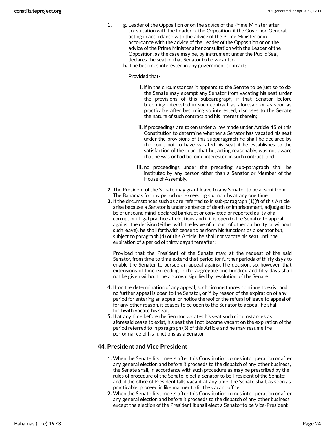- **1. g.** Leader of the Opposition or on the advice of the Prime Minister after consultation with the Leader of the Opposition, if the Governor-General, acting in accordance with the advice of the Prime Minister or in accordance with the advice of the Leader of the Opposition or on the advice of the Prime Minister after consultation with the Leader of the Opposition, as the case may be, by instrument under the Public Seal, declares the seat of that Senator to be vacant; or
	- **h.** if he becomes interested in any government contract:

#### Provided that-

- **i.** if in the circumstances it appears to the Senate to be just so to do, the Senate may exempt any Senator from vacating his seat under the provisions of this subparagraph, if that Senator, before becoming interested in such contract as aforesaid or as soon as practicable after becoming so interested, discloses to the Senate the nature of such contract and his interest therein;
- **ii.** if proceedings are taken under a law made under Article 45 of this Constitution to determine whether a Senator has vacated his seat under the provisions of this subparagraph he shall be declared by the court not to have vacated his seat if he establishes to the satisfaction of the court that he, acting reasonably, was not aware that he was or had become interested in such contract; and
- **iii.** no proceedings under the preceding sub-paragraph shall be instituted by any person other than a Senator or Member of the House of Assembly.
- **2.** The President of the Senate may grant leave to any Senator to be absent from The Bahamas for any period not exceeding six months at any one time.
- **3.** If the circumstances such as are referred to in sub-paragraph (1)(f) of this Article arise because a Senator is under sentence of death or imprisonment, adjudged to be of unsound mind, declared bankrupt or convicted or reported guilty of a corrupt or illegal practice at elections and if it is open to the Senator to appeal against the decision (either with the leave of a court of other authority or without such leave), he shall forthwith cease to perform his functions as a senator but, subject to paragraph (4) of this Article, he shall not vacate his seat until the expiration of a period of thirty days thereafter:

Provided that the President of the Senate may, at the request of the said Senator, from time to time extend that period for further periods of thirty days to enable the Senator to pursue an appeal against the decision, so, however, that extensions of time exceeding in the aggregate one hundred and fifty days shall not be given without the approval signified by resolution, of the Senate.

- **4.** If, on the determination of any appeal, such circumstances continue to exist and no further appeal is open to the Senator, or if, by reason of the expiration of any period for entering an appeal or notice thereof or the refusal of leave to appeal of for any other reason, it ceases to be open to the Senator to appeal, he shall forthwith vacate his seat.
- **5.** If at any time before the Senator vacates his seat such circumstances as aforesaid cease to exist, his seat shall not become vacant on the expiration of the period referred to in paragraph (3) of this Article and he may resume the performance of his functions as a Senator.

#### **44. President and Vice President**

- **1.** When the Senate first meets after this Constitution comes into operation or after any general election and before it proceeds to the dispatch of any other business, the Senate shall, in accordance with such procedure as may be prescribed by the rules of procedure of the Senate, elect a Senator to be President of the Senate; and, if the office of President falls vacant at any time, the Senate shall, as soon as practicable, proceed in like manner to fill the vacant office.
- **2.** When the Senate first meets after this Constitution comes into operation or after any general election and before it proceeds to the dispatch of any other business except the election of the President it shall elect a Senator to be Vice-President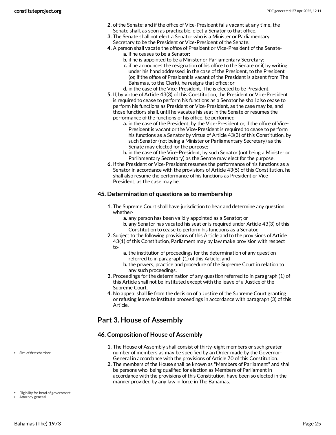- **2.** of the Senate; and if the office of Vice-President falls vacant at any time, the Senate shall, as soon as practicable, elect a Senator to that office.
- **3.** The Senate shall not elect a Senator who is a Minister or Parliamentary
- Secretary to be the President or Vice-President of the Senate.
- **4.** A person shall vacate the office of President or Vice-President of the Senate**a.** if he ceases to be a Senator;
	- **b.** if he is appointed to be a Minister or Parliamentary Secretary;
	- **c.** if he announces the resignation of his office to the Senate or if, by writing under his hand addressed, in the case of the President, to the President (or, if the office of President is vacant of the President is absent from The Bahamas, to the Clerk), he resigns that office; or
	- **d.** in the case of the Vice-President, if he is elected to be President.
- **5.** If, by virtue of Article 43(3) of this Constitution, the President or Vice-President is required to cease to perform his functions as a Senator he shall also cease to perform his functions as President or Vice-President, as the case may be, and those functions shall, until he vacates his seat in the Senate or resumes the performance of the functions of his office, be performed
	- **a.** in the case of the President, by the Vice-President or, if the office of Vice-President is vacant or the Vice-President is required to cease to perform his functions as a Senator by virtue of Article 43(3) of this Constitution, by such Senator (not being a Minister or Parliamentary Secretary) as the Senate may elected for the purpose;
	- **b.** in the case of the Vice-President, by such Senator (not being a Minister or Parliamentary Secretary) as the Senate may elect for the purpose.
- **6.** If the President or Vice-President resumes the performance of his functions as a Senator in accordance with the provisions of Article 43(5) of this Constitution, he shall also resume the performance of his functions as President or Vice-President, as the case may be.

#### **45. Determination of questions as to membership**

- **1.** The Supreme Court shall have jurisdiction to hear and determine any question whether
	- **a.** any person has been validly appointed as a Senator; or
	- **b.** any Senator has vacated his seat or is required under Article 43(3) of this Constitution to cease to perform his functions as a Senator.
- **2.** Subject to the following provisions of this Article and to the provisions of Article 43(1) of this Constitution, Parliament may by law make provision with respect
	- to
		- **a.** the institution of proceedings for the determination of any question referred to in paragraph (1) of this Article; and
		- **b.** the powers, practice and procedure of the Supreme Court in relation to any such proceedings.
- **3.** Proceedings for the determination of any question referred to in paragraph (1) of this Article shall not be instituted except with the leave of a Justice of the Supreme Court.
- **4.** No appeal shall lie from the decision of a Justice of the Supreme Court granting or refusing leave to institute proceedings in accordance with paragraph (3) of this Article.

### <span id="page-24-0"></span>**Part 3. House of Assembly**

#### <span id="page-24-2"></span>**46. Composition of House of Assembly**

- **1.** The House of Assembly shall consist of thirty-eight members or such greater number of members as may be specified by an Order made by the Governor-General in accordance with the provisions of Article 70 of this Constitution.
- <span id="page-24-1"></span>**2.** The members of the House shall be known as "Members of Parliament" and shall be persons who, being qualified for election as Members of Parliament in accordance with the provisions of this Constitution, have been so elected in the manner provided by any law in force in The Bahamas.

Size of first chamber

Eligibility for head of government

Attorney general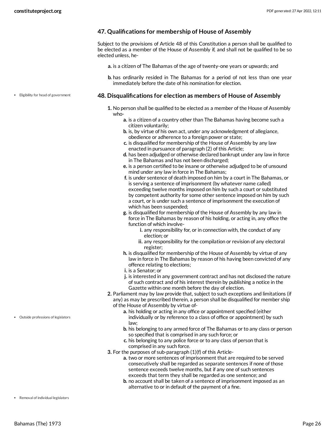#### **47. Qualifications for membership of House of Assembly**

Subject to the provisions of Article 48 of this Constitution a person shall be qualified to be elected as a member of the House of Assembly if, and shall not be qualified to be so elected unless, he-

- **a.** is a citizen of The Bahamas of the age of twenty-one years or upwards; and
- **b.** has ordinarily resided in The Bahamas for a period of not less than one year immediately before the date of his nomination for election.

Eligibility for head of government

#### <span id="page-25-1"></span>**48. Disqualifications for election as members of House of Assembly**

- **1.** No person shall be qualified to be elected as a member of the House of Assembly who
	- **a.** is a citizen of a country other than The Bahamas having become such a citizen voluntarily;
	- **b.** is, by virtue of his own act, under any acknowledgment of allegiance, obedience or adherence to a foreign power or state;
	- **c.** is disqualified for membership of the House of Assembly by any law enacted in pursuance of paragraph (2) of this Article;
	- **d.** has been adjudged or otherwise declared bankrupt under any law in force in The Bahamas and has not been discharged;
	- **e.** is a person certified to be insane or otherwise adjudged to be of unsound mind under any law in force in The Bahamas;
	- **f.** is under sentence of death imposed on him by a court in The Bahamas, or is serving a sentence of imprisonment (by whatever name called) exceeding twelve months imposed on him by such a court or substituted by competent authority for some other sentence imposed on him by such a court, or is under such a sentence of imprisonment the execution of which has been suspended;
	- **g.** is disqualified for membership of the House of Assembly by any law in force in The Bahamas by reason of his holding, or acting in, any office the function of which involve
		- **i.** any responsibility for, or in connection with, the conduct of any election; or
		- **ii.** any responsibility for the compilation or revision of any electoral register;
	- **h.** is disqualified for membership of the House of Assembly by virtue of any law in force in The Bahamas by reason of his having been convicted of any offence relating to elections;
	- **i.** is a Senator; or
	- **j.** is interested in any government contract and has not disclosed the nature of such contract and of his interest therein by publishing a notice in the Gazette within one month before the day of election.
- **2.** Parliament may by law provide that, subject to such exceptions and limitations (if any) as may be prescribed therein, a person shall be disqualified for member ship of the House of Assembly by virtue of
	- **a.** his holding or acting in any office or appointment specified (either individually or by reference to a class of office or appointment) by such law;
	- **b.** his belonging to any armed force of The Bahamas or to any class or person so specified that is comprised in any such force; or
	- **c.** his belonging to any police force or to any class of person that is comprised in any such force.
- <span id="page-25-0"></span>**3.** For the purposes of sub-paragraph (1)(f) of this Article
	- **a.** two or more sentences of imprisonment that are required to be served consecutively shall be regarded as separate sentences if none of those sentence exceeds twelve months, but if any one of such sentences exceeds that term they shall be regarded as one sentence; and
	- **b.** no account shall be taken of a sentence of imprisonment imposed as an alternative to or in default of the payment of a fine.

Outside professions of legislators

Removal of individual legislators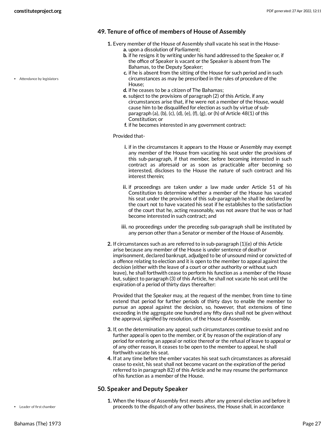#### **49. Tenure of office of members of House of Assembly**

- **1.** Every member of the House of Assembly shall vacate his seat in the House
	- **a.** upon a dissolution of Parliament;
		- **b.** if he resigns it by writing under his hand addressed to the Speaker or, if the office of Speaker is vacant or the Speaker is absent from The Bahamas, to the Deputy Speaker;
		- **c.** if he is absent from the sitting of the House for such period and in such circumstances as may be prescribed in the rules of procedure of the House;
		- **d.** if he ceases to be a citizen of The Bahamas;
		- **e.** subject to the provisions of paragraph (2) of this Article, if any circumstances arise that, if he were not a member of the House, would cause him to be disqualified for election as such by virtue of subparagraph (a), (b), (c), (d), (e), (f), (g), or (h) of Article 48(1) of this Constitution; or
		- **f.** if he becomes interested in any government contract:

Provided that-

- **i.** if in the circumstances it appears to the House or Assembly may exempt any member of the House from vacating his seat under the provisions of this sub-paragraph, if that member, before becoming interested in such contract as aforesaid or as soon as practicable after becoming so interested, discloses to the House the nature of such contract and his interest therein;
- **ii.** if proceedings are taken under a law made under Article 51 of his Constitution to determine whether a member of the House has vacated his seat under the provisions of this sub-paragraph he shall be declared by the court not to have vacated his seat if he establishes to the satisfaction of the court that he, acting reasonably, was not aware that he was or had become interested in such contract; and
- **iii.** no proceedings under the preceding sub-paragraph shall be instituted by any person other than a Senator or member of the House of Assembly.
- **2.** If circumstances such as are referred to in sub-paragraph (1)(e) of this Article arise because any member of the House is under sentence of death or imprisonment, declared bankrupt, adjudged to be of unsound mind or convicted of a offence relating to election and it is open to the member to appeal against the decision (either with the leave of a court or other authority or without such leave), he shall forthwith cease to perform his function as a member of the House but, subject to paragraph (3) of this Article, he shall not vacate his seat until the expiration of a period of thirty days thereafter:

Provided that the Speaker may, at the request of the member, from time to time extend that period for further periods of thirty days to enable the member to pursue an appeal against the decision, so, however, that extensions of time exceeding in the aggregate one hundred any fifty days shall not be given without the approval, signified by resolution, of the House of Assembly.

- **3.** If, on the determination any appeal, such circumstances continue to exist and no further appeal is open to the member, or if, by reason of the expiration of any period for entering an appeal or notice thereof or the refusal of leave to appeal or of any other reason, it ceases to be open to the member to appeal, he shall forthwith vacate his seat.
- **4.** If at any time before the ember vacates his seat such circumstances as aforesaid cease to exist, his seat shall not become vacant on the expiration of the period referred to in paragraph 82) of this Article and he may resume the performance of his function as a member of the House.

#### <span id="page-26-0"></span>**50. Speaker and Deputy Speaker**

**1.** When the House of Assembly first meets after any general election and before it proceeds to the dispatch of any other business, the House shall, in accordance

Attendance by legislators

Leader of first chamber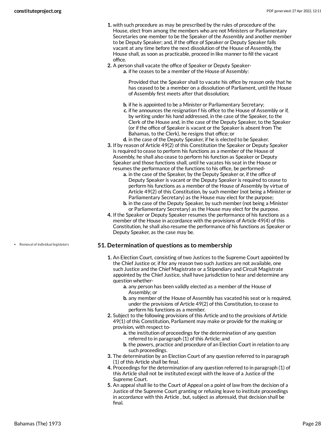- **1.** with such procedure as may be prescribed by the rules of procedure of the House, elect from among the members who are not Ministers or Parliamentary Secretaries one member to be the Speaker of the Assembly and another member to be Deputy Speaker; and, if the office of Speaker or Deputy Speaker falls vacant at any time before the next dissolution of the House of Assembly, the House shall, as soon as practicable, proceed in like manner to fill the vacant office.
- **2.** A person shall vacate the office of Speaker or Deputy Speaker**a.** if he ceases to be a member of the House of Assembly:

Provided that the Speaker shall to vacate his office by reason only that he has ceased to be a member on a dissolution of Parliament, until the House of Assembly first meets after that dissolution;

- **b.** if he is appointed to be a Minister or Parliamentary Secretary;
- **c.** if he announces the resignation f his office to the House of Assembly or if, by writing under his hand addressed, in the case of the Speaker, to the Clerk of the House and, in the case of the Deputy Speaker, to the Speaker (or if the office of Speaker is vacant or the Speaker is absent from The Bahamas, to the Clerk), he resigns that office; or
- **d.** in the case of the Deputy Speaker, if he is elected to be Speaker.
- **3.** If by reason of Article 49(2) of this Constitution the Speaker or Deputy Speaker is required to cease to perform his functions as a member of the House of Assembly, he shall also cease to perform his function as Speaker or Deputy Speaker and those functions shall, until he vacates his seat in the House or resumes the performance of the functions to his office, be performed
	- **a.** in the case of the Speaker, by the Deputy Speaker or, if the office of Deputy Speaker is vacant or the Deputy Speaker is required to cease to perform his functions as a member of the House of Assembly by virtue of Article 49(2) of this Constitution, by such member (not being a Minister or Parliamentary Secretary) as the House may elect for the purpose;
	- **b.** in the case of the Deputy Speaker, by such member (not being a Minister or Parliamentary Secretary) as the House may elect for the purpose.
- **4.** If the Speaker or Deputy Speaker resumes the performance of his functions as a member of the House in accordance with the provisions of Article 49(4) of this Constitution, he shall also resume the performance of his functions as Speaker or Deputy Speaker, as the case may be.

#### <span id="page-27-0"></span>**51. Determination of questions as to membership**

- **1.** An Election Court, consisting of two Justices to the Supreme Court appointed by the Chief Justice or, if for any reason two such Justices are not available, one such Justice and the Chief Magistrate or a Stipendiary and Circuit Magistrate appointed by the Chief Justice, shall have jurisdiction to hear and determine any question whether
	- **a.** any person has been validly elected as a member of the House of Assembly; or
	- **b.** any member of the House of Assembly has vacated his seat or is required, under the provisions of Article 49(2) of this Constitution, to cease to perform his functions as a member.
- **2.** Subject to the following provisions of this Article and to the provisions of Article 49(1) of this Constitution, Parliament may make or provide for the making or provision, with respect to
	- **a.** the institution of proceedings for the determination of any question referred to in paragraph (1) of this Article; and
	- **b.** the powers, practice and procedure of an Election Court in relation to any such proceedings.
- **3.** The determination by an Election Court of any question referred to in paragraph (1) of this Article shall be final.
- **4.** Proceedings for the determination of any question referred to in paragraph (1) of this Article shall not be instituted except with the leave of a Justice of the Supreme Court.
- **5.** An appeal shall lie to the Court of Appeal on a point of law from the decision of a Justice of the Supreme Court granting or refusing leave to institute proceedings in accordance with this Article , but, subject as aforesaid, that decision shall be final.

Removal of individual legislators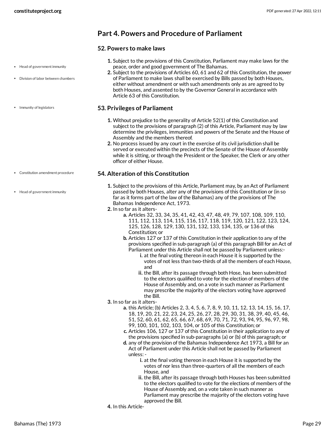### <span id="page-28-0"></span>**Part 4. Powers and Procedure of Parliament**

#### <span id="page-28-2"></span>**52. Powers to make laws**

- **1.** Subject to the provisions of this Constitution, Parliament may make laws for the peace, order and good government of The Bahamas.
	- **2.** Subject to the provisions of Articles 60, 61 and 62 of this Constitution, the power of Parliament to make laws shall be exercised by Bills passed by both Houses, either without amendment or with such amendments only as are agreed to by both Houses, and assented to by the Governor General in accordance with Article 63 of this Constitution.

#### <span id="page-28-3"></span>**53. Privileges of Parliament**

- **1.** Without prejudice to the generality of Article 52(1) of this Constitution and subject to the provisions of paragraph (2) of this Article, Parliament may by law determine the privileges, immunities and powers of the Senate and the House of Assembly and the members thereof.
- **2.** No process issued by any court in the exercise of its civil jurisdiction shall be served or executed within the precincts of the Senate of the House of Assembly while it is sitting, or through the President or the Speaker, the Clerk or any other officer of either House.

#### <span id="page-28-1"></span>**54. Alteration of this Constitution**

- **1.** Subject to the provisions of this Article, Parliament may, by an Act of Parliament passed by both Houses, alter any of the provisions of this Constitution or (in so far as it forms part of the law of the Bahamas) any of the provisions of The Bahamas Independence Act, 1973.
- **2.** In so far as it alters
	- **a.** Articles 32, 33, 34, 35, 41, 42, 43, 47, 48, 49, 79, 107, 108, 109, 110, 111, 112, 113, 114, 115, 116, 117, 118, 119, 120, 121, 122, 123, 124, 125, 126, 128, 129, 130, 131, 132, 133, 134, 135, or 136 of this Constitution; or
	- **b.** Articles 127 or 137 of this Constitution in their application to any of the provisions specified in sub-paragraph (a) of this paragraph Bill for an Act of Parliament under this Article shall not be passed by Parliament unless:
		- **i.** at the final voting thereon in each House it is supported by the votes of not less than two-thirds of all the members of each House, and
		- **ii.** the Bill, after its passage through both Hose, has been submitted to the electors qualified to vote for the election of members of the House of Assembly and, on a vote in such manner as Parliament may prescribe the majority of the electors voting have approved the Bill.
- **3.** In so far as it alters
	- **a.** this Article; (b) Articles 2, 3, 4, 5, 6, 7, 8, 9, 10, 11, 12, 13, 14, 15, 16, 17, 18, 19, 20, 21, 22, 23, 24, 25, 26, 27, 28, 29, 30, 31, 38, 39, 40, 45, 46, 51, 52, 60, 61, 62, 65, 66, 67, 68, 69, 70, 71, 72, 93, 94, 95, 96, 97, 98, 99, 100, 101, 102, 103, 104, or 105 of this Constitution; or
	- **c.** Articles 106, 127 or 137 of this Constitution in their application to any of the provisions specified in sub-paragraphs (a) or (b) of this paragraph; or
	- **d.** any of the provision of the Bahamas Independence Act 1973, a Bill for an Act of Parliament under this Article shall not be passed by Parliament unless:
		- **i.** at the final voting thereon in each House it is supported by the votes of nor less than three-quarters of all the members of each House, and
		- **ii.** the Bill, after its passage through both Houses has been submitted to the electors qualified to vote for the elections of members of the House of Assembly and, on a vote taken in such manner as Parliament may prescribe the majority of the electors voting have approved the Bill.
- **4.** In this Article-

#### • Head of government immunity

- Division of labor between chambers
- Immunity of legislators

• Head of government immunity

Constitution amendment procedure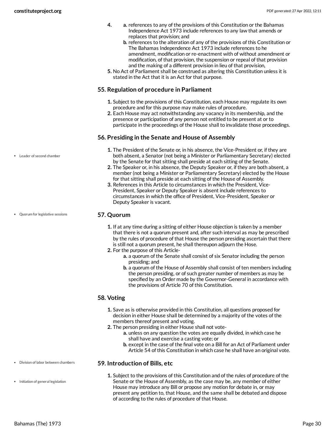- **4. a.** references to any of the provisions of this Constitution or the Bahamas Independence Act 1973 include references to any law that amends or replaces that provision; and
	- **b.** references to the alteration of any of the provisions of this Constitution or The Bahamas Independence Act 1973 include references to he amendment, modification or re-enactment with of without amendment or modification, of that provision, the suspension or repeal of that provision and the making of a different provision in lieu of that provision,
- **5.** No Act of Parliament shall be construed as altering this Constitution unless it is stated in the Act that it is an Act for that purpose.

#### **55. Regulation of procedure in Parliament**

- **1.** Subject to the provisions of this Constitution, each House may regulate its own procedure and for this purpose may make rules of procedure.
- **2.** Each House may act notwithstanding any vacancy in its membership, and the presence or participation of any person not entitled to be present at or to participate in the proceedings of the House shall to invalidate those proceedings.

#### <span id="page-29-1"></span>**56. Presiding in the Senate and House of Assembly**

- **1.** The President of the Senate or, in his absence, the Vice-President or, if they are both absent, a Senator (not being a Minister or Parliamentary Secretary) elected by the Senate for that sitting shall preside at each sitting of the Senate.
- **2.** The Speaker or, in his absence, the Deputy Speaker or, if they are both absent, a member (not being a Minister or Parliamentary Secretary) elected by the House for that sitting shall preside at each sitting of the House of Assembly.
- **3.** References in this Article to circumstances in which the President, Vice-President, Speaker or Deputy Speaker is absent include references to circumstances in which the office of President, Vice-President, Speaker or Deputy Speaker is vacant.

#### <span id="page-29-2"></span>**57. Quorum**

- **1.** If at any time during a sitting of either House objection is taken by a member that there is not a quorum present and, after such interval as may be prescribed by the rules of procedure of that House the person presiding ascertain that there is still not a quorum present, he shall thereupon adjourn the Hose.
- **2.** For the purpose of this Article
	- **a.** a quorum of the Senate shall consist of six Senator including the person presiding; and
	- **b.** a quorum of the House of Assembly shall consist of ten members including the person presiding, or of such greater number of members as may be specified by an Order made by the Governor-General in accordance with the provisions of Article 70 of this Constitution.

#### **58. Voting**

- **1.** Save as is otherwise provided in this Constitution, all questions proposed for decision in either House shall be determined by a majority of the votes of the members thereof present and voting.
- **2.** The person presiding in either House shall not vote
	- **a.** unless on any question the votes are equally divided, in which case he shall have and exercise a casting vote; or
	- **b.** except in the case of the final vote on a Bill for an Act of Parliament under Article 54 of this Constitution in which case he shall have an original vote.

#### Division of labor between chambers

- Initiation of general legislation
- <span id="page-29-0"></span>**59. Introduction of Bills, etc**
	- **1.** Subject to the provisions of this Constitution and of the rules of procedure of the Senate or the House of Assembly, as the case may be, any member of either House may introduce any Bill or propose any motion for debate in, or may present any petition to, that House, and the same shall be debated and dispose of according to the rules of procedure of that House.

Leader of second chamber

Quorum for legislative sessions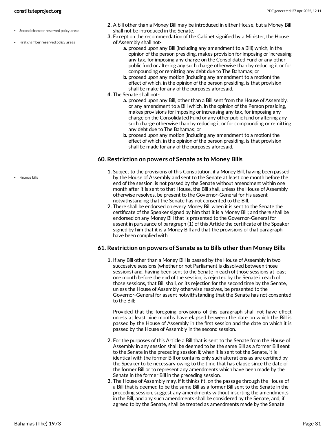• Finance bills

- Second chamber reserved policy areas
- First chamber reserved policy areas
- **2.** A bill other than a Money Bill may be introduced in either House, but a Money Bill shall not be introduced in the Senate.
- **3.** Except on the recommendation of the Cabinet signified by a Minister, the House of Assembly shall not
	- **a.** proceed upon any Bill (including any amendment to a Bill) which, in the opinion of the person presiding, makes provision for imposing or increasing any tax, for imposing any charge on the Consolidated Fund or any other public fund or altering any such charge otherwise than by reducing it or for compounding or remitting any debt due to The Bahamas; or
	- **b.** proceed upon any motion (including any amendment to a motion) the effect of which, in the opinion of the person presiding, is that provision shall be make for any of the purposes aforesaid.
- **4.** The Senate shall not
	- **a.** proceed upon any Bill, other than a Bill sent from the House of Assembly, or any amendment to a Bill which, in the opinion of the Person presiding, makes provisions for imposing or increasing any tax, for imposing any charge on the Consolidated Fund or any other public fund or altering any such charge otherwise than by reducing it or for compounding or remitting any debt due to The Bahamas; or
	- **b.** proceed upon any motion (including any amendment to a motion) the effect of which, in the opinion of the person presiding, is that provision shall be made for any of the purposes aforesaid.

#### <span id="page-30-0"></span>**60. Restriction on powers of Senate as to Money Bills**

- **1.** Subject to the provisions of this Constitution, if a Money Bill, having been passed by the House of Assembly and sent to the Senate at least one month before the end of the session, is not passed by the Senate without amendment within one month after it is sent to that House, the Bill shall, unless the House of Assembly otherwise resolves, be present to the Governor-General for his assent notwithstanding that the Senate has not consented to the Bill.
- **2.** There shall be endorsed on every Money Bill when it is sent to the Senate the certificate of the Speaker signed by him that it is a Money Bill; and there shall be endorsed on any Money Bill that is presented to the Governor-General for assent in pursuance of paragraph (1) of this Article the certificate of the Speaker signed by him that it is a Money Bill and that the provisions of that paragraph have been complied with.

#### **61. Restriction on powers of Senate as to Bills other than Money Bills**

**1.** If any Bill other than a Money Bill is passed by the House of Assembly in two successive sessions (whether or not Parliament is dissolved between those sessions) and, having been sent to the Senate in each of those sessions at least one month before the end of the session, is rejected by the Senate in each of those sessions, that Bill shall, on its rejection for the second time by the Senate, unless the House of Assembly otherwise resolves, be presented to the Governor-General for assent notwithstanding that the Senate has not consented to the Bill:

Provided that the foregoing provisions of this paragraph shall not have effect unless at least nine months have elapsed between the date on which the Bill is passed by the House of Assembly in the first session and the date on which it is passed by the House of Assembly in the second session.

- **2.** For the purposes of this Article a Bill that is sent to the Senate from the House of Assembly in any session shall be deemed to be the same Bill as a former Bill sent to the Senate in the preceding session if, when it is sent tot the Senate, it is identical with the former Bill or contains only such alterations as are certified by the Speaker to be necessary owing to the time that has elapse since the date of the former Bill or to represent any amendments which have been made by the Senate in the former Bill in the preceding session.
- **3.** The House of Assembly may, if it thinks fit, on the passage through the House of a Bill that is deemed to be the same Bill as a former Bill sent to the Senate in the preceding session, suggest any amendments without inserting the amendments in the Bill, and any such amendments shall be considered by the Senate, and, if agreed to by the Senate, shall be treated as amendments made by the Senate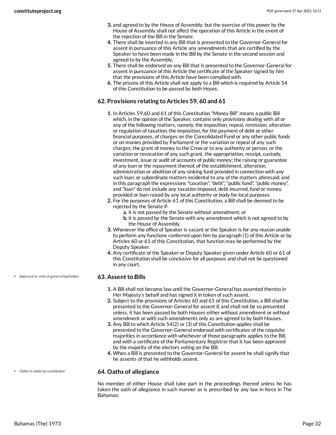- **3.** and agreed to by the House of Assembly; but the exercise of this power by the House of Assembly shall not affect the operation of this Article in the event of the rejection of the Bill in the Senate.
- **4.** There shall be inserted in any Bill that is presented to the Governor-General for assent in pursuance of this Article any amendments that are certified by the Speaker to have been made in the Bill by the Senate in the second session and agreed to by the Assembly.
- **5.** There shall be endorsed on any Bill that is presented to the Governor-General for assent in pursuance of this Article the certificate of the Speaker signed by him that the provisions of this Article have been complied with.
- **6.** The prisons of this Article shall not apply to a Bill which is required by Article 54 of this Constitution to be passed by both Hoses.

#### **62. Provisions relating to Articles 59, 60 and 61**

- **1.** In Articles 59,60 and 61 of this Constitution "Money Bill" means a public Bill which, in the opinion of the Speaker, contains only provisions dealing with all or any of the following matters, namely, the imposition, repeal, remission, alteration or regulation of taxation; the imposition, for the payment of debt or other financial purposes, of charges on the Consolidated Fund or any other public funds or on monies provided by Parliament or the variation or repeal of any such charges; the grant of money to the Crow or to any authority or person, or the variation or revocation of any such grant, the appropriation, receipt, custody, investment, issue or audit of accounts of public money; the raising or guarantee of any loan or the repayment thereof, of the establishment, alteration, administration or abolition of any sinking fund provided in connection with any such loan; or subordinate matters incidental to any of the matters aforesaid; and in this paragraph the expressions "taxation", "debt", "public fund", "public money", and "loan" do not include any taxation imposed, debt incurred, fund or money provided or loan raised by any local authority or body for local purposes.
- **2.** For the purposes of Article 61 of this Constitution, a Bill shall be deemed to be rejected by the Senate if
	- **a.** it is not passed by the Senate without amendment; or
	- **b.** it is passed by the Senate with any amendment which is not agreed to by the House of Assembly.
- **3.** Whenever the office of Speaker is vacant or the Speaker is for any reason unable to perform any functions conferred upon him by paragraph (1) of this Article or by Articles 60 or 61 of this Constitution, that function may be performed by the Deputy Speaker.
- **4.** Any certificate of the Speaker or Deputy Speaker given under Article 60 or 61 of this Constitution shall be conclusive for all purposes and shall not be questioned in any court.

#### <span id="page-31-0"></span>**63. Assent to Bills**

- **1.** A Bill shall not become law until the Governor-General has assented thereto in Her Majesty's behalf and has signed it in token of such assent.
- **2.** Subject to the provisions of Articles 60 and 61 of this Constitution, a Bill shall be presented to the Governor-General for assent if, and shall not be so presented unless, it has been passed by both Houses either without amendment or without amendment or with such amendments only as are agreed to by both Houses.
- **3.** Any Bill to which Article 54(2) or (3) of this Constitution applies shall be presented to the Governor-General endorsed with certificates of the requisite majorities in accordance with whichever of those paragraphs applies to the Bill, and with a certificate of the Parliamentary Registrar that it has been approved by the majority of the electors voting on the Bill.
- **4.** When a Bill is presented to the Governor-General for assent he shall signify that he assents of that he withholds assent.

#### <span id="page-31-1"></span>**64. Oaths of allegiance**

No member of either House shall take part in the proceedings thereof unless he has taken the oath of allegiance in such manner as is prescribed by any law in force in The Bahamas:

Approval or veto of general legislation

Oaths to abide by constitution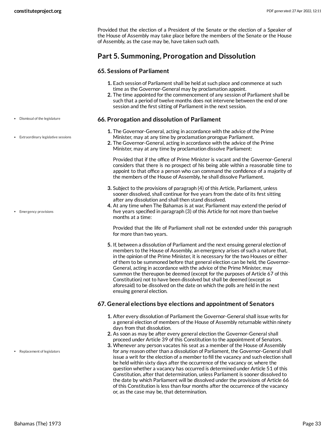Provided that the election of a President of the Senate or the election of a Speaker of the House of Assembly may take place before the members of the Senate or the House of Assembly, as the case may be, have taken such oath.

### <span id="page-32-0"></span>**Part 5. Summoning, Prorogation and Dissolution**

#### **65. Sessions of Parliament**

- **1.** Each session of Parliament shall be held at such place and commence at such time as the Governor-General may by proclamation appoint.
- **2.** The time appointed for the commencement of any session of Parliament shall be such that a period of twelve months does not intervene between the end of one session and the first sitting of Parliament in the next session.

#### <span id="page-32-1"></span>**66. Prorogation and dissolution of Parliament**

- **1.** The Governor-General, acting in accordance with the advice of the Prime Minister, may at any time by proclamation prorogue Parliament.
- **2.** The Governor-General, acting in accordance with the advice of the Prime
- Minister, may at any time by proclamation dissolve Parliament:

Provided that if the office of Prime Minister is vacant and the Governor-General considers that there is no prospect of his being able within a reasonable time to appoint to that office a person who can command the confidence of a majority of the members of the House of Assembly, he shall dissolve Parliament.

- **3.** Subject to the provisions of paragraph (4) of this Article, Parliament, unless sooner dissolved, shall continue for five years from the date of its first sitting after any dissolution and shall then stand dissolved.
- **4.** At any time when The Bahamas is at war, Parliament may extend the period of five years specified in paragraph (3) of this Article for not more than twelve months at a time:

Provided that the life of Parliament shall not be extended under this paragraph for more than two years.

**5.** If, between a dissolution of Parliament and the next ensuing general election of members to the House of Assembly, an emergency arises of such a nature that, in the opinion of the Prime Minister, it is necessary for the two Houses or either of them to be summoned before that general election can be held, the Governor-General, acting in accordance with the advice of the Prime Minister, may summon the thereupon be deemed (except for the purposes of Article 67 of this Constitution) not to have been dissolved but shall be deemed (except as aforesaid) to be dissolved on the date on which the polls are held in the next ensuing general election.

#### <span id="page-32-2"></span>**67. General elections bye elections and appointment of Senators**

- **1.** After every dissolution of Parliament the Governor-General shall issue writs for a general election of members of the House of Assembly returnable within ninety days from that dissolution.
- **2.** As soon as may be after every general election the Governor-General shall proceed under Article 39 of this Constitution to the appointment of Senators.
- **3.** Whenever any person vacates his seat as a member of the House of Assembly for any reason other than a dissolution of Parliament, the Governor-General shall issue a writ for the election of a member to fill the vacancy and such election shall be held within sixty days after the occurrence of the vacancy or, where the question whether a vacancy has occurred is determined under Article 51 of this Constitution, after that determination, unless Parliament is sooner dissolved to the date by which Parliament will be dissolved under the provisions of Article 66 of this Constitution is less than four months after the occurrence of the vacancy or, as the case may be, that determination.

Dismissal of the legislature

Extraordinary legislative sessions

**Emergency provisions** 

• Replacement of legislators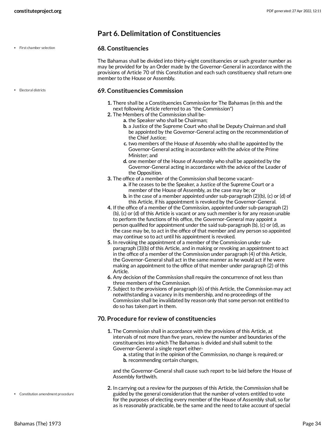First chamber selection

### <span id="page-33-0"></span>**Part 6. Delimitation of Constituencies**

#### <span id="page-33-3"></span>**68. Constituencies**

The Bahamas shall be divided into thirty-eight constituencies or such greater number as may be provided for by an Order made by the Governor-General in accordance with the provisions of Article 70 of this Constitution and each such constituency shall return one member to the House or Assembly.

• Flectoral districts

#### <span id="page-33-2"></span>**69. Constituencies Commission**

- **1.** There shall be a Constituencies Commission for The Bahamas (in this and the next following Article referred to as "the Commission")
- **2.** The Members of the Commission shall be
	- **a.** the Speaker who shall be Chairman;
		- **b.** a Justice of the Supreme Court who shall be Deputy Chairman and shall be appointed by the Governor-General acting on the recommendation of the Chief Justice;
		- **c.** two members of the House of Assembly who shall be appointed by the Governor-General acting in accordance with the advice of the Prime Minister; and
		- **d.** one member of the House of Assembly who shall be appointed by the Governor-General acting in accordance with the advice of the Leader of the Opposition.
- **3.** The office of a member of the Commission shall become vacant
	- **a.** if he ceases to be the Speaker, a Justice of the Supreme Court or a member of the House of Assembly, as the case may be; or
	- **b.** in the case of a member appointed under sub-paragraph (2)(b), (c) or (d) of this Article, if his appointment is revoked by the Governor-General.
- **4.** If the office of a member of the Commission, appointed under sub-paragraph (2) (b), (c) or (d) of this Article is vacant or any such member is for any reason unable to perform the functions of his office, the Governor-General may appoint a person qualified for appointment under the said sub-paragraph (b), (c) or (d), as the case may be, to act in the office of that member and any person so appointed may continue so to act until his appointment is revoked.
- **5.** In revoking the appointment of a member of the Commission under subparagraph (3)(b) of this Article, and in making or revoking an appointment to act in the office of a member of the Commission under paragraph (4) of this Article, the Governor-General shall act in the same manner as he would act if he were making an appointment to the office of that member under paragraph (2) of this Article.
- **6.** Any decision of the Commission shall require the concurrence of not less than three members of the Commission.
- **7.** Subject to the provisions of paragraph (6) of this Article, the Commission may act notwithstanding a vacancy in its membership, and no proceedings of the Commission shall be invalidated by reason only that some person not entitled to do so has taken part in them.

#### <span id="page-33-1"></span>**70. Procedure for review of constituencies**

- **1.** The Commission shall in accordance with the provisions of this Article, at intervals of not more than five years, review the number and boundaries of the constituencies into which The Bahamas is divided and shall submit to the Governor-General a single report either
	- **a.** stating that in the opinion of the Commission, no change is required; or **b.** recommending certain changes,

and the Governor-General shall cause such report to be laid before the House of Assembly forthwith.

**2.** In carrying out a review for the purposes of this Article, the Commission shall be guided by the general consideration that the number of voters entitled to vote for the purposes of electing every member of the House of Assembly shall, so far as is reasonably practicable, be the same and the need to take account of special

Constitution amendment procedure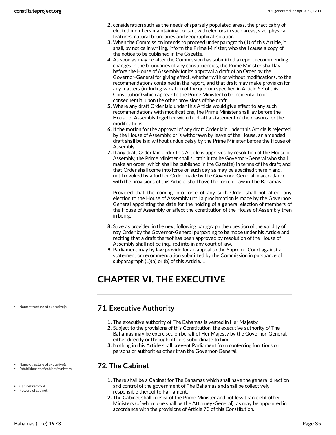- **2.** consideration such as the needs of sparsely populated areas, the practicably of elected members maintaining contact with electors in such areas, size, physical features, natural boundaries and geographical isolation.
- **3.** When the Commission intends to proceed under paragraph (1) of this Article, it shall, by notice in writing, inform the Prime Minister, who shall cause a copy of the notice to be published in the Gazette.
- **4.** As soon as may be after the Commission has submitted a report recommending changes in the boundaries of any constituencies, the Prime Minister shall lay before the House of Assembly for its approval a draft of an Order by the Governor-General for giving effect, whether with or without modifications, to the recommendations contained in the report, and that draft may make provision for any matters (including variation of the quorum specified in Article 57 of this Constitution) which appear to the Prime Minister to be incidental to or consequential upon the other provisions of the draft.
- **5.** Where any draft Order laid under this Article would give effect to any such recommendations with modifications, the Prime Minister shall lay before the House of Assembly together with the draft a statement of the reasons for the modifications.
- **6.** If the motion for the approval of any draft Order laid under this Article is rejected by the House of Assembly, or is withdrawn by leave of the House, an amended draft shall be laid without undue delay by the Prime Minister before the House of Assembly.
- **7.** If any draft Order laid under this Article is approved by resolution of the House of Assembly, the Prime Minister shall submit it tot he Governor-General who shall make an order (which shall be published in the Gazette) in terms of the draft; and that Order shall come into force on such day as may be specified therein and, until revoked by a further Order made by the Governor-General in accordance with the provisions of this Article, shall have the force of law in The Bahamas:

Provided that the coming into force of any such Order shall not affect any election to the House of Assembly until a proclamation is made by the Governor-General appointing the date for the holding of a general election of members of the House of Assembly or affect the constitution of the House of Assembly then in being.

- **8.** Save as provided in the next following paragraph the question of the validity of nay Order by the Governor-General purporting to be made under his Article and reciting that a draft thereof has been approved by resolution of the House of Assembly shall not be inquired into in any court of law.
- **9.** Parliament may by law provide for an appeal to the Supreme Court against a statement or recommendation submitted by the Commission in pursuance of subparagraph (1)(a) or (b) of this Article. 1

## <span id="page-34-0"></span>**CHAPTER VI. THE EXECUTIVE**

Name/structure of executive(s)

Name/structure of executive(s) Establishment of cabinet/ministers

Cabinet removal Powers of cabinet

### <span id="page-34-1"></span>**71. Executive Authority**

- **1.** The executive authority of The Bahamas is vested in Her Majesty.
- **2.** Subject to the provisions of this Constitution, the executive authority of The Bahamas may be exercised on behalf of Her Majesty by the Governor-General, either directly or through officers subordinate to him.
- **3.** Nothing in this Article shall prevent Parliament from conferring functions on persons or authorities other than the Governor-General.

### <span id="page-34-2"></span>**72. The Cabinet**

- **1.** There shall be a Cabinet for The Bahamas which shall have the general direction and control of the government of The Bahamas and shall be collectively responsible thereof to Parliament.
- **2.** The Cabinet shall consist of the Prime Minister and not less than eight other Ministers (of whom one shall be the Attorney-General), as may be appointed in accordance with the provisions of Article 73 of this Constitution.
- Bahamas (The) 1973 Page 35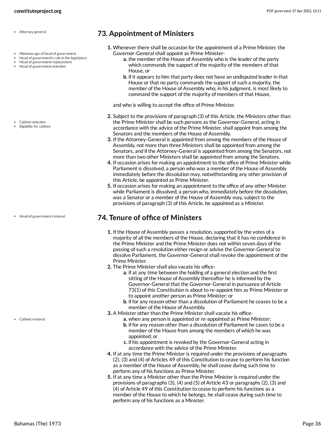Minimum age of head of government Head of government's role in the legislature Head of government replacement Head of government selection

• Attorney general

### <span id="page-35-0"></span>**73. Appointment of Ministers**

- **1.** Whenever there shall be occasion for the appointment of a Prime Minister, the Governor-General shall appoint as Prime Minister
	- **a.** the member of the House of Assembly who is the leader of the party which commands the support of the majority of the members of that House, or
	- **b.** if it appears to him that party does not have an undisputed leader in that House or that no party commands the support of such a majority, the member of the House of Assembly who, in his judgment, is most likely to command the support of the majority of members of that House,

and who is willing to accept the office of Prime Minister.

- **2.** Subject to the provisions of paragraph (3) of this Article, the Ministers other than the Prime Minister shall be such persons as the Governor-General, acting in accordance with the advice of the Prime Minister, shall appoint from among the Senators and the members of the House of Assembly.
- **3.** If the Attorney-General is appointed from among the members of the House of Assembly, not more than three Ministers shall be appointed from among the Senators, and if the Attorney-General is appointed from among the Senators, not more than two other Ministers shall be appointed from among the Senators.
- **4.** If occasion arises for making an appointment to the office of Prime Minister while Parliament is dissolved, a person who was a member of the House of Assembly immediately before the dissolution may, notwithstanding any other provision of this Article, be appointed as Prime Minister.
- **5.** If occasion arises for making an appointment to the office of any other Minister while Parliament is dissolved, a person who, immediately before the dissolution, was a Senator or a member of the House of Assembly may, subject to the provisions of paragraph (3) of this Article, be appointed as a Minister.

### <span id="page-35-1"></span>**74. Tenure of office of Ministers**

- **1.** If the House of Assembly passes a resolution, supported by the votes of a majority of all the members of the House, declaring that it has no confidence in the Prime Minister and the Prime Minister does not within seven days of the passing of such a resolution either resign or advise the Governor-General to dissolve Parliament, the Governor-General shall revoke the appointment of the Prime Minister.
- **2.** The Prime Minister shall also vacate his office
	- **a.** if at any time between the holding of a general election and the first sitting of the House of Assembly thereafter he is informed by the Governor-General that the Governor-General in pursuance of Article 73(1) of this Constitution is about to re-appoint him as Prime Minister or to appoint another person as Prime Minister; or
	- **b.** if for any reason other than a dissolution of Parliament he ceases to be a member of the House of Assembly.
- **3.** A Minister other than the Prime Minister shall vacate his office
	- **a.** when any person is appointed or re-appointed as Prime Minister; **b.** if for any reason other than a dissolution of Parliament he cases to be a member of the House from among the members of which he was appointed; or
	- **c.** if his appointment is revoked by the Governor-General acting in accordance with the advice of the Prime Minister.
- **4.** If at any time the Prime Minister is required under the provisions of paragraphs (2), (3) and (4) of Articles 49 of this Constitution to cease to perform his function as a member of the House of Assembly, he shall cease during such time to perform any of his functions as Prime Minister.
- **5.** If at any time a Minister other than the Prime Minister is required under the provisions of paragraphs (3), (4) and (5) of Article 43 or paragraphs (2), (3) and (4) of Article 49 of this Constitution to cease to perform his functions as a member of the House to which he belongs, he shall cease during such time to perform any of his functions as a Minister.

Cabinet selection

Eligibility for cabinet

Head of government removal

Cabinet removal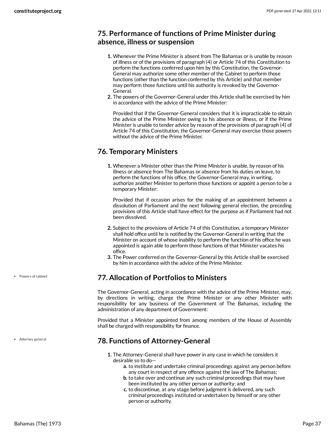### <span id="page-36-0"></span>**75. Performance of functions of Prime Minister during absence, illness or suspension**

- **1.** Whenever the Prime Minister is absent from The Bahamas or is unable by reason of illness or of the provisions of paragraph (4) or Article 74 of this Constitution to perform the functions conferred upon him by this Constitution, the Governor-General may authorize some other member of the Cabinet to perform those functions (other than the function conferred by this Article) and that member may perform those functions until his authority is revoked by the Governor-General.
- **2.** The powers of the Governor-General under this Article shall be exercised by him in accordance with the advice of the Prime Minister:

Provided that if the Governor-General considers that it is impracticable to obtain the advice of the Prime Minister owing to his absence or illness, or if the Prime Minister is unable to tender advice by reason of the provisions of paragraph (4) of Article 74 of this Constitution, the Governor-General may exercise those powers without the advice of the Prime Minister.

### <span id="page-36-1"></span>**76. Temporary Ministers**

**1.** Whenever a Minister other than the Prime Minister is unable, by reason of his illness or absence from The Bahamas or absence from his duties on leave, to perform the functions of his office, the Governor-General may, in writing, authorize another Minister to perform those functions or appoint a person to be a temporary Minister:

Provided that if occasion arises for the making of an appointment between a dissolution of Parliament and the next following general election, the preceding provisions of this Article shall have effect for the purpose as if Parliament had not been dissolved.

- **2.** Subject to the provisions of Article 74 of this Constitution, a temporary Minister shall hold office until he is notified by the Governor-General in writing that the Minister on account of whose inability to perform the function of his office he was appointed is again able to perform those functions of that Minister vacates his office.
- **3.** The Power conferred on the Governor-General by this Article shall be exercised by him in accordance with the advice of the Prime Minister.

### <span id="page-36-2"></span>**77. Allocation of Portfolios to Ministers**

The Governor-General, acting in accordance with the advice of the Prime Minister, may, by directions in writing, charge the Prime Minister or any other Minister with responsibility for any business of the Government of The Bahamas, including the administration of any department of Government:

Provided that a Minister appointed from among members of the House of Assembly shall be charged with responsibility for finance.

### <span id="page-36-3"></span>**78. Functions of Attorney-General**

- **1.** The Attorney-General shall have power in any case in which he considers it desirable so to do
	- **a.** to institute and undertake criminal proceedings against any person before any court in respect of any offence against the law of The Bahamas;
	- **b.** to take over and continue any such criminal proceedings that may have been instituted by any other person or authority; and
	- **c.** to discontinue, at any stage before judgment is delivered, any such criminal proceedings instituted or undertaken by himself or any other person or authority.

Powers of cabinet

Attorney general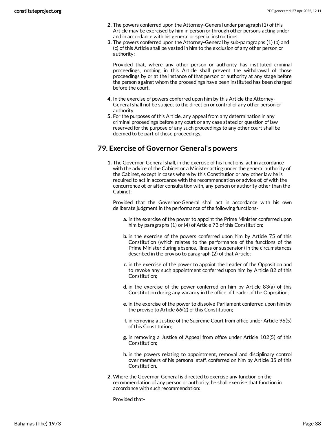- **2.** The powers conferred upon the Attorney-General under paragraph (1) of this Article may be exercised by him in person or through other persons acting under and in accordance with his general or special instructions.
- **3.** The powers conferred upon the Attorney-General by sub-paragraphs (1) (b) and (c) of this Article shall be vested in him to the exclusion of any other person or authority:

Provided that, where any other person or authority has instituted criminal proceedings, nothing in this Article shall prevent the withdrawal of those proceedings by or at the instance of that person or authority at any stage before the person against whom the proceedings have been instituted has been charged before the court.

- **4.** In the exercise of powers conferred upon him by this Article the Attorney-General shall not be subject to the direction or control of any other person or authority.
- **5.** For the purposes of this Article, any appeal from any determination in any criminal proceedings before any court or any case stated or question of law reserved for the purpose of any such proceedings to any other court shall be deemed to be part of those proceedings.

### <span id="page-37-0"></span>**79. Exercise of Governor General's powers**

**1.** The Governor-General shall, in the exercise of his functions, act in accordance with the advice of the Cabinet or a Minister acting under the general authority of the Cabinet, except in cases where by this Constitution or any other law he is required to act in accordance with the recommendation or advice of, of with the concurrence of, or after consultation with, any person or authority other than the Cabinet:

Provided that the Governor-General shall act in accordance with his own deliberate judgment in the performance of the following functions-

- **a.** in the exercise of the power to appoint the Prime Minister conferred upon him by paragraphs (1) or (4) of Article 73 of this Constitution;
- **b.** in the exercise of the powers conferred upon him by Article 75 of this Constitution (which relates to the performance of the functions of the Prime Minister during absence, illness or suspension) in the circumstances described in the proviso to paragraph (2) of that Article;
- **c.** in the exercise of the power to appoint the Leader of the Opposition and to revoke any such appointment conferred upon him by Article 82 of this Constitution;
- **d.** in the exercise of the power conferred on him by Article 83(a) of this Constitution during any vacancy in the office of Leader of the Opposition;
- **e.** in the exercise of the power to dissolve Parliament conferred upon him by the proviso to Article 66(2) of this Constitution;
- **f.** in removing a Justice of the Supreme Court from office under Article 96(5) of this Constitution;
- **g.** in removing a Justice of Appeal from office under Article 102(5) of this Constitution;
- **h.** in the powers relating to appointment, removal and disciplinary control over members of his personal staff, conferred on him by Article 35 of this Constitution.
- **2.** Where the Governor-General is directed to exercise any function on the recommendation of any person or authority, he shall exercise that function in accordance with such recommendation:

Provided that-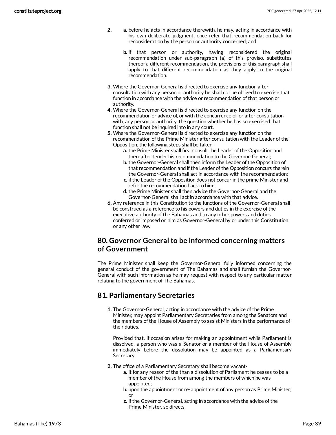- **2. a.** before he acts in accordance therewith, he may, acting in accordance with his own deliberate judgment, once refer that recommendation back for reconsideration by the person or authority concerned; and
	- **b.** if that person or authority, having reconsidered the original recommendation under sub-paragraph (a) of this proviso, substitutes thereof a different recommendation, the provisions of this paragraph shall apply to that different recommendation as they apply to the original recommendation.
- **3.** Where the Governor-General is directed to exercise any function after consultation with any person or authority he shall not be obliged to exercise that function in accordance with the advice or recommendation of that person or authority.
- **4.** Where the Governor-General is directed to exercise any function on the recommendation or advice of, or with the concurrence of, or after consultation with, any person or authority, the question whether he has so exercised that function shall not be inquired into in any court.
- **5.** Where the Governor-General is directed to exercise any function on the recommendation of the Prime Minister after consultation with the Leader of the Opposition, the following steps shall be taken
	- **a.** the Prime Minister shall first consult the Leader of the Opposition and thereafter tender his recommendation to the Governor-General;
	- **b.** the Governor-General shall then inform the Leader of the Opposition of that recommendation and if the Leader of the Opposition concurs therein the Governor-General shall act in accordance with the recommendation;
	- **c.** if the Leader of the Opposition does not concur in the prime Minister and refer the recommendation back to him;
	- **d.** the Prime Minister shall then advice the Governor-General and the Governor-General shall act in accordance with that advice.
- **6.** Any reference in this Constitution to the functions of the Governor-General shall be construed as a reference to his powers and duties in the exercise of the executive authority of the Bahamas and to any other powers and duties conferred or imposed on him as Governor-General by or under this Constitution or any other law.

### <span id="page-38-0"></span>**80. Governor General to be informed concerning matters of Government**

The Prime Minister shall keep the Governor-General fully informed concerning the general conduct of the government of The Bahamas and shall furnish the Governor-General with such information as he may request with respect to any particular matter relating to the government of The Bahamas.

### <span id="page-38-1"></span>**81. Parliamentary Secretaries**

**1.** The Governor-General, acting in accordance with the advice of the Prime Minister, may appoint Parliamentary Secretaries from among the Senators and the members of the House of Assembly to assist Ministers in the performance of their duties.

Provided that, if occasion arises for making an appointment while Parliament is dissolved, a person who was a Senator or a member of the House of Assembly immediately before the dissolution may be appointed as a Parliamentary Secretary.

- **2.** The office of a Parliamentary Secretary shall become vacant
	- **a.** it for any reason of the than a dissolution of Parliament he ceases to be a member of the House from among the members of which he was appointed;
	- **b.** upon the appointment or re-appointment of any person as Prime Minister; or
	- **c.** if the Governor-General, acting in accordance with the advice of the Prime Minister, so directs.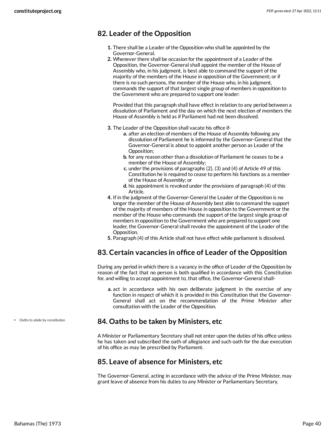### <span id="page-39-0"></span>**82. Leader of the Opposition**

- **1.** There shall be a Leader of the Opposition who shall be appointed by the Governor-General.
- **2.** Whenever there shall be occasion for the appointment of a Leader of the Opposition, the Governor-General shall appoint the member of the House of Assembly who, in his judgment, is best able to command the support of the majority of the members of the House in opposition of the Government; or if there is no such persons, the member of the House who, in his judgment, commands the support of that largest single group of members in opposition to the Government who are prepared to support one leader:

Provided that this paragraph shall have effect in relation to any period between a dissolution of Parliament and the day on which the next election of members the House of Assembly is held as if Parliament had not been dissolved.

- **3.** The Leader of the Opposition shall vacate his office if
	- **a.** after an election of members of the House of Assembly following any dissolution of Parliament he is informed by the Governor-General that the Governor-General is about to appoint another person as Leader of the Opposition;
	- **b.** for any reason other than a dissolution of Parliament he ceases to be a member of the House of Assembly;
	- **c.** under the provisions of paragraphs (2), (3) and (4) of Article 49 of this Constitution he is required to cease to perform his functions as a member of the House of Assembly; or
	- **d.** his appointment is revoked under the provisions of paragraph (4) of this Article.
- **4.** If in the judgment of the Governor-General the Leader of the Opposition is no longer the member of the House of Assembly best able to command the support of the majority of members of the House in opposition to the Government or the member of the House who commands the support of the largest single group of members in opposition to the Government who are prepared to support one leader, the Governor-General shall revoke the appointment of the Leader of the Opposition.
- **5.** Paragraph (4) of this Article shall not have effect while parliament is dissolved.

### <span id="page-39-1"></span>**83. Certain vacancies in office of Leader of the Opposition**

During any period in which there is a vacancy in the office of Leader of the Opposition by reason of the fact that no person is both qualified in accordance with this Constitution for, and willing to accept appointment to, that office, the Governor-General shall-

**a.** act in accordance with his own deliberate judgment in the exercise of any function in respect of which it is provided in this Constitution that the Governor-General shall act on the recommendation of the Prime Minister after consultation with the Leader of the Opposition.

### <span id="page-39-2"></span>**84. Oaths to be taken by Ministers, etc**

A Minister or Parliamentary Secretary shall not enter upon the duties of his office unless he has taken and subscribed the oath of allegiance and such oath for the due execution of his office as may be prescribed by Parliament.

### <span id="page-39-3"></span>**85. Leave of absence for Ministers, etc**

The Governor-General, acting in accordance with the advice of the Prime Minister, may grant leave of absence from his duties to any Minister or Parliamentary Secretary.

Oaths to abide by constitution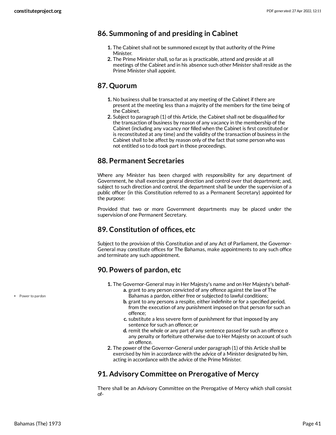### <span id="page-40-0"></span>**86. Summoning of and presiding in Cabinet**

- **1.** The Cabinet shall not be summoned except by that authority of the Prime Minister.
- **2.** The Prime Minister shall, so far as is practicable, attend and preside at all meetings of the Cabinet and in his absence such other Minister shall reside as the Prime Minister shall appoint.

### <span id="page-40-1"></span>**87. Quorum**

- **1.** No business shall be transacted at any meeting of the Cabinet if there are present at the meeting less than a majority of the members for the time being of the Cabinet.
- **2.** Subject to paragraph (1) of this Article, the Cabinet shall not be disqualified for the transaction of business by reason of any vacancy in the membership of the Cabinet (including any vacancy nor filled when the Cabinet is first constituted or is reconstituted at any time) and the validity of the transaction of business in the Cabinet shall to be affect by reason only of the fact that some person who was not entitled so to do took part in those proceedings.

### <span id="page-40-2"></span>**88. Permanent Secretaries**

Where any Minister has been charged with responsibility for any department of Government, he shall exercise general direction and control over that department; and, subject to such direction and control, the department shall be under the supervision of a public officer (in this Constitution referred to as a Permanent Secretary) appointed for the purpose:

Provided that two or more Government departments may be placed under the supervision of one Permanent Secretary.

### <span id="page-40-3"></span>**89. Constitution of offices, etc**

Subject to the provision of this Constitution and of any Act of Parliament, the Governor-General may constitute offices for The Bahamas, make appointments to any such office and terminate any such appointment.

### <span id="page-40-4"></span>**90. Powers of pardon, etc**

- **1.** The Governor-General may in Her Majesty's name and on Her Majesty's behalf
	- **a.** grant to any person convicted of any offence against the law of The Bahamas a pardon, either free or subjected to lawful conditions;
	- **b.** grant to any persons a respite, either indefinite or for a specified period, from the execution of any punishment imposed on that person for such an offence;
	- **c.** substitute a less severe form of punishment for that imposed by any sentence for such an offence; or
	- **d.** remit the whole or any part of any sentence passed for such an offence o any penalty or forfeiture otherwise due to Her Majesty on account of such an offence.
- **2.** The power of the Governor-General under paragraph (1) of this Article shall be exercised by him in accordance with the advice of a Minister designated by him, acting in accordance with the advice of the Prime Minister.

### <span id="page-40-5"></span>**91. Advisory Committee on Prerogative of Mercy**

There shall be an Advisory Committee on the Prerogative of Mercy which shall consist of-

• Power to pardon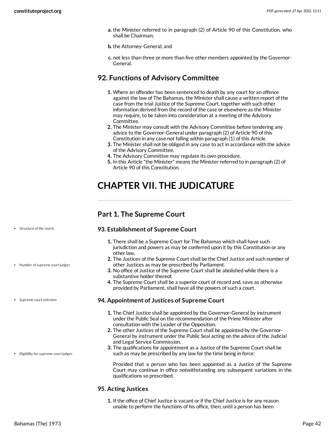- **a.** the Minister referred to in paragraph (2) of Article 90 of this Constitution, who shall be Chairman;
- **b.** the Attorney-General; and
- **c.** not less than three or more than five other members appointed by the Governor-General.

### <span id="page-41-0"></span>**92. Functions of Advisory Committee**

- **1.** Where an offender has been sentenced to death by any court for an offence against the law of The Bahamas, the Minister shall cause a written report of the case from the trial Justice of the Supreme Court, together with such other information derived from the record of the case or elsewhere as the Minister may require, to be taken into consideration at a meeting of the Advisory Committee.
- **2.** The Minister may consult with the Advisory Committee before tendering any advice to the Governor-General under paragraph (2) of Article 90 of this Constitution in any case not falling within paragraph (1) of this Article.
- **3.** The Minister shall not be obliged in any case to act in accordance with the advice of the Advisory Committee.
- **4.** The Advisory Committee may regulate its own procedure.
- **5.** In this Article "the Minister" means the Minister referred to in paragraph (2) of Article 90 of this Constitution.

## <span id="page-41-1"></span>**CHAPTER VII. THE JUDICATURE**

### <span id="page-41-2"></span>**Part 1. The Supreme Court**

#### <span id="page-41-4"></span>**93. Establishment of Supreme Court**

- **1.** There shall be a Supreme Court for The Bahamas which shall have such jurisdiction and powers as may be conferred upon it by this Constitution or any other law.
- **2.** The Justices of the Supreme Court shall be the Chief Justice and such number of other Justices as may be prescribed by Parliament.
- **3.** No office of Justice of the Supreme Court shall be abolished while there is a substantive holder thereof.
- **4.** The Supreme Court shall be a superior court of record and, save as otherwise provided by Parliament, shall have all the powers of such a court.

#### <span id="page-41-3"></span>**94. Appointment of Justices of Supreme Court**

- **1.** The Chief Justice shall be appointed by the Governor-General by instrument under the Public Seal on the recommendation of the Prime Minister after consultation with the Leader of the Opposition.
- **2.** The other Justices of the Supreme Court shall be appointed by the Governor-General by instrument under the Public Seal acting on the advice of the Judicial and Legal Service Commission.
- **3.** The qualifications for appointment as a Justice of the Supreme Court shall be such as may be prescribed by any law for the time being in force:

Provided that a person who has been appointed as a Justice of the Supreme Court may continue in office notwithstanding any subsequent variations in the qualifications so prescribed.

#### **95. Acting Justices**

**1.** If the office of Chief Justice is vacant or if the Chief Justice is for any reason unable to perform the functions of his office, then, until a person has been

Structure of the courts

- Number of supreme court judges
- Supreme court selection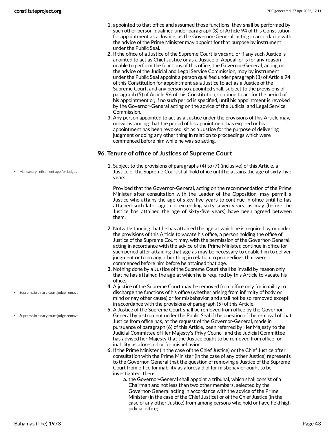- **1.** appointed to that office and assumed those functions, they shall be performed by such other person, qualified under paragraph (3) of Article 94 of this Constitution for appointment as a Justice, as the Governor-General, acting in accordance with the advice of the Prime Minister may appoint for that purpose by instrument under the Public Seal.
- **2.** If the office of a Justice of the Supreme Court is vacant, or if any such Justice is anointed to act as Chief Justice or as a Justice of Appeal, or is for any reason unable to perform the functions of this office, the Governor-General, acting on the advice of the Judicial and Legal Service Commission, may by instrument under the Public Seal appoint a person qualified under paragraph (3) of Article 94 of this Constitution for appointment as a Justice to act as a Justice of the Supreme Court, and any person so appointed shall, subject to the provisions of paragraph (5) of Article 96 of this Constitution, continue to act for the period of his appointment or, if no such period is specified, until his appointment is revoked by the Governor-General acting on the advice of the Judicial and Legal Service Commission.
- **3.** Any person appointed to act as a Justice under the provisions of this Article may, notwithstanding that the period of his appointment has expired or his appointment has been revoked, sit as a Justice for the purpose of delivering judgment or doing any other thing in relation to proceedings which were commenced before him while he was so acting.

#### <span id="page-42-0"></span>**96. Tenure of office of Justices of Supreme Court**

- Mandatory retirement age for judges
- **1.** Subject to the provisions of paragraphs (4) to (7) (inclusive) of this Article, a Justice of the Supreme Court shall hold office until he attains the age of sixty-five years:

Provided that the Governor-General, acting on the recommendation of the Prime Minister after consultation with the Leader of the Opposition, may permit a Justice who attains the age of sixty-five years to continue in office until he has attained such later age, not exceeding sixty-seven years, as may (before the Justice has attained the age of sixty-five years) have been agreed between them.

- **2.** Notwithstanding that he has attained the age at which he is required by or under the provisions of this Article to vacate his office, a person holding the office of Justice of the Supreme Court may, with the permission of the Governor-General, acting in accordance with the advice of the Prime Minister, continue in office for such period after attaining that age as may be necessary to enable him to deliver judgment or to do any other thing in relation to proceedings that were commenced before him before he attained that age.
- **3.** Nothing done by a Justice of the Supreme Court shall be invalid by reason only that he has attained the age at which he is required by this Article to vacate his office.
- **4.** A justice of the Supreme Court may be removed from office only for inability to discharge the functions of his office (whether arising from infirmity of body or mind or nay other cause) or for misbehavior, and shall not be so removed except in accordance with the provisions of paragraph (5) of this Article.
- **5.** A Justice of the Supreme Court shall be removed from office by the Governor-General by instrument under the Public Seal if the question of the removal of that Justice from office has, at the request of the Governor-General, made in pursuance of paragraph (6) of this Article, been referred by Her Majesty to the Judicial Committee of Her Majesty's Privy Council and the Judicial Committee has advised her Majesty that the Justice ought to be removed from office for inability as aforesaid or for misbehavior.
- **6.** If the Prime Minister (in the case of the Chief Justice) or the Chief Justice after consultation with the Prime Minister (in the case of any other Justice) represents to the Governor-General that the question of removing a Justice of the Supreme Court from office for inability as aforesaid of for misbehavior ought to be investigated, then
	- **a.** the Governor-General shall appoint a tribunal, which shall consist of a Chairman and not less than two other members, selected by the Governor-General acting in accordance with the advice of the Prime Minister (in the case of the Chief Justice) or of the Chief Justice (in the case of any other Justice) from among persons who hold or have held high judicial office;
- Supreme/ordinary court judge removal
- Supreme/ordinary court judge removal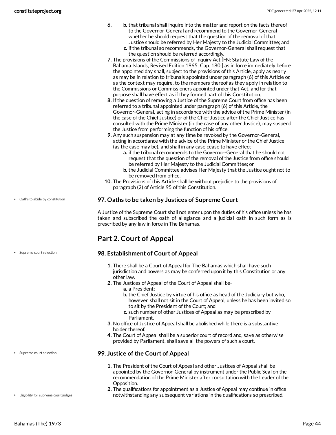- **6. b.** that tribunal shall inquire into the matter and report on the facts thereof to the Governor-General and recommend to the Governor-General whether he should request that the question of the removal of that Justice should be referred by Her Majesty to the Judicial Committee; and
	- **c.** if the tribunal so recommends, the Governor-General shall request that the question should be referred accordingly.
- **7.** The provisions of the Commissions of Inquiry Act [FN: Statute Law of the Bahama Islands, Revised Edition 1965. Cap. 180.] as in force immediately before the appointed day shall, subject to the provisions of this Article, apply as nearly as may be in relation to tribunals appointed under paragraph (6) of this Article or, as the context may require, to the members thereof as they apply in relation to the Commissions or Commissioners appointed under that Act, and for that purpose shall have effect as if they formed part of this Constitution.
- **8.** If the question of removing a Justice of the Supreme Court from office has been referred to a tribunal appointed under paragraph (6) of this Article, the Governor-General, acting in accordance with the advice of the Prime Minister (in the case of the Chief Justice) or of the Chief Justice after the Chief Justice has consulted with the Prime Minister (in the case of any other Justice), may suspend the Justice from performing the function of his office.
- **9.** Any such suspension may at any time be revoked by the Governor-General, acting in accordance with the advice of the Prime Minister or the Chief Justice (as the case may be), and shall in any case cease to have effect
	- **a.** if the tribunal recommends to the Governor-General that he should not request that the question of the removal of the Justice from office should be referred by Her Majesty to the Judicial Committee; or
	- **b.** the Judicial Committee advises Her Majesty that the Justice ought not to be removed from office.
- **10.** The Provisions of this Article shall be without prejudice to the provisions of paragraph (2) of Article 95 of this Constitution.
- <span id="page-43-2"></span>**97. Oaths to be taken by Justices of Supreme Court**

A Justice of the Supreme Court shall not enter upon the duties of his office unless he has taken and subscribed the oath of allegiance and a judicial oath in such form as is prescribed by any law in force in The Bahamas.

### <span id="page-43-0"></span>**Part 2. Court of Appeal**

#### <span id="page-43-3"></span>**98. Establishment of Court of Appeal**

- **1.** There shall be a Court of Appeal for The Bahamas which shall have such jurisdiction and powers as may be conferred upon it by this Constitution or any other law.
- **2.** The Justices of Appeal of the Court of Appeal shall be
	- **a.** a President;
		- **b.** the Chief Justice by virtue of his office as head of the Judiciary but who, however, shall not sit in the Court of Appeal, unless he has been invited so to sit by the President of the Court; and
		- **c.** such number of other Justices of Appeal as may be prescribed by Parliament.
- **3.** No office of Justice of Appeal shall be abolished while there is a substantive holder thereof.
- **4.** The Court of Appeal shall be a superior court of record and, save as otherwise provided by Parliament, shall save all the powers of such a court.

#### <span id="page-43-1"></span>**99. Justice of the Court of Appeal**

- **1.** The President of the Court of Appeal and other Justices of Appeal shall be appointed by the Governor-General by instrument under the Public Seal on the recommendation of the Prime Minister after consultation with the Leader of the Opposition.
- **2.** The qualifications for appointment as a Justice of Appeal may continue in office notwithstanding any subsequent variations in the qualifications so prescribed.

Oaths to abide by constitution

Supreme court selection

Supreme court selection

• Eligibility for supreme court judges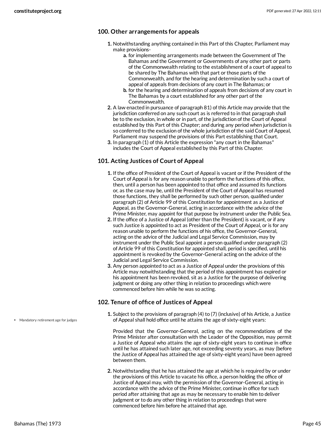#### **100. Other arrangements for appeals**

- **1.** Notwithstanding anything contained in this Part of this Chapter, Parliament may make provisions
	- **a.** for implementing arrangements made between the Government of The Bahamas and the Government or Governments of any other part or parts of the Commonwealth relating to the establishment of a court of appeal to be shared by The Bahamas with that part or those parts of the Commonwealth, and for the hearing and determination by such a court of appeal of appeals from decisions of any court in The Bahamas; or
	- **b.** for the hearing and determination of appeals from decisions of any court in The Bahamas by a court established for any other part of the Commonwealth.
- **2.** A law enacted in pursuance of paragraph 81) of this Article may provide that the jurisdiction conferred on any such court as is referred to in that paragraph shall be to the exclusion, in whole or in part, of the jurisdiction of the Court of Appeal established by this Part of this Chapter; and during any period when jurisdiction is so conferred to the exclusion of the whole jurisdiction of the said Court of Appeal, Parliament may suspend the provisions of this Part establishing that Court.
- **3.** In paragraph (1) of this Article the expression "any court in the Bahamas" includes the Court of Appeal established by this Part of this Chapter.

#### **101. Acting Justices of Court of Appeal**

- **1.** If the office of President of the Court of Appeal is vacant or if the President of the Court of Appeal is for any reason unable to perform the functions of this office, then, until a person has been appointed to that office and assumed its functions or, as the case may be, until the President of the Court of Appeal has resumed those functions, they shall be performed by such other person, qualified under paragraph (2) of Article 99 of this Constitution for appointment as a Justice of Appeal, as the Governor-General, acting in accordance with the advice of the Prime Minister, may appoint for that purpose by instrument under the Public Sea.
- **2.** If the office of a Justice of Appeal (other than the President) is vacant, or if any such Justice is appointed to act as President of the Court of Appeal, or is for any reason unable to perform the functions of his office, the Governor-General, acting on the advice of the Judicial and Legal Service Commission, may by instrument under the Public Seal appoint a person qualified under paragraph (2) of Article 99 of this Constitution for appointed shall, period is specified, until his appointment is revoked by the Governor-General acting on the advice of the Judicial and Legal Service Commission.
- **3.** Any person appointed to act as a Justice of Appeal under the provisions of this Article may notwithstanding that the period of this appointment has expired or his appointment has been revoked, sit as a Justice for the purpose of delivering judgment or doing any other thing in relation to proceedings which were commenced before him while he was so acting.

#### <span id="page-44-0"></span>**102. Tenure of office of Justices of Appeal**

**1.** Subject to the provisions of paragraph (4) to (7) (inclusive) of his Article, a Justice of Appeal shall hold office until he attains the age of sixty-eight years:

Provided that the Governor-General, acting on the recommendations of the Prime Minister after consultation with the Leader of the Opposition, may permit a Justice of Appeal who attains the age of sixty-eight years to continue in office until he has attained such later age, not exceeding seventy years, as may (before the Justice of Appeal has attained the age of sixty-eight years) have been agreed between them.

**2.** Notwithstanding that he has attained the age at which he is required by or under the provisions of this Article to vacate his office, a person holding the office of Justice of Appeal may, with the permission of the Governor-General, acting in accordance with the advice of the Prime Minister, continue in office for such period after attaining that age as may be necessary to enable him to deliver judgment or to do any other thing in relation to proceedings that were commenced before him before he attained that age.

Mandatory retirement age for judges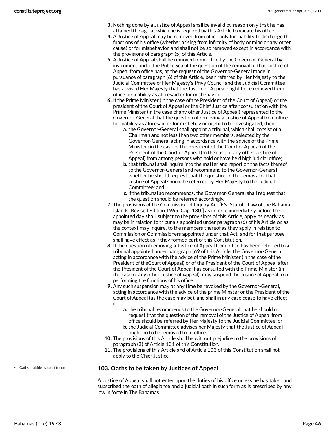- **3.** Nothing done by a Justice of Appeal shall be invalid by reason only that he has attained the age at which he is required by this Article to vacate his office.
- **4.** A Justice of Appeal may be removed from office only for inability to discharge the functions of his office (whether arising from infirmity of body or mind or any other cause) or for misbehavior, and shall not be so removed except in accordance with the provisions of paragraph (5) of this Article.
- **5.** A Justice of Appeal shall be removed from office by the Governor-General by instrument under the Public Seal if the question of the removal of that Justice of Appeal from office has, at the request of the Governor-General made in pursuance of paragraph (6) of this Article, been referred by Her Majesty to the Judicial Committee of Her Majesty's Privy Council and the Judicial Committee has advised Her Majesty that the Justice of Appeal ought to be removed from office for inability as aforesaid or for misbehavior.
- **6.** If the Prime Minister (in the case of the President of the Court of Appeal) or the president of the Court of Appeal or the Chief Justice after consultation with the Prime Minister (in the case of any other Justice of Appeal) represented to the Governor-General that the question of removing a Justice of Appeal from office for inability as aforesaid or for misbehavior ought to be investigated, then
	- **a.** the Governor-General shall appoint a tribunal, which shall consist of a Chairman and not less than two other members, selected by the Governor-General acting in accordance with the advice of the Prime Minister (in the case of the President of the Court of Appeal) of the President of the Court of Appeal (In the case of any other Justice of Appeal) from among persons who hold or have held high judicial office;
	- **b.** that tribunal shall inquire into the matter and report on the facts thereof to the Governor-General and recommend to the Governor-General whether he should request that the question of the removal of that Justice of Appeal should be referred by Her Majesty to the Judicial Committee; and
	- **c.** if the tribunal so recommends, the Governor-General shall request that the question should be referred accordingly.
- **7.** The provisions of the Commission of Inquiry Act [FN: Statute Law of the Bahama Islands, Revised Edition 1965, Cap. 180.] as in force immediately before the appointed day shall, subject to the provisions of this Article, apply as nearly as may be in relation to tribunals appointed under paragraph (6) of his Article or, as the context may inquire, to the members thereof as they apply in relation to Commission or Commissioners appointed under that Act, and for that purpose shall have effect as if they formed part of this Constitution.
- **8.** If the question of removing a Justice of Appeal from office has been referred to a tribunal appointed under paragraph (69 of this Article, the Governor-General acting in accordance with the advice of the Prime Minister (in the case of the President of theCourt of Appeal) or of the President of the Court of Appeal after the President of the Court of Appeal has consulted with the Prime Minister (in the case of any other Justice of Appeal), may suspend the Justice of Appeal from performing the functions of his office.
- **9.** Any such suspension may at any time be revoked by the Governor-General, acting in accordance with the advice of the prime Minster or the President of the Court of Appeal (as the case may be), and shall in any case cease to have effect if
	- **a.** the tribunal recommends to the Governor-General that he should not request that the question of the removal of the Justice of Appeal from office should be referred by Her Majesty to the Judicial Committee; or
	- **b.** the Judicial Committee advises her Majesty that the Justice of Appeal ought no to be removed from office.
- **10.** The provisions of this Article shall be without prejudice to the provisions of paragraph (2) of Article 101 of this Constitution.
- **11.** The provisions of this Article and of Article 103 of this Constitution shall not apply to the Chief Justice.

#### <span id="page-45-0"></span>**103. Oaths to be taken by Justices of Appeal**

A Justice of Appeal shall not enter upon the duties of his office unless he has taken and subscribed the oath of allegiance and a judicial oath in such form as is prescribed by any law in force in The Bahamas.

Oaths to abide by constitution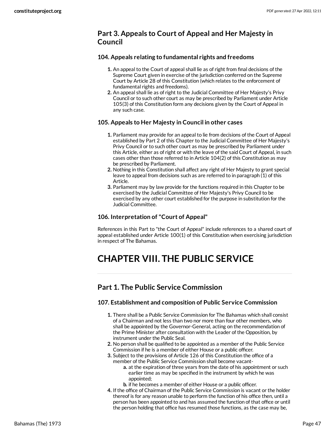### <span id="page-46-0"></span>**Part 3. Appeals to Court of Appeal and Her Majesty in Council**

#### **104. Appeals relating to fundamental rights and freedoms**

- **1.** An appeal to the Court of appeal shall lie as of right from final decisions of the Supreme Court given in exercise of the jurisdiction conferred on the Supreme Court by Article 28 of this Constitution (which relates to the enforcement of fundamental rights and freedoms).
- **2.** An appeal shall lie as of right to the Judicial Committee of Her Majesty's Privy Council or to such other court as may be prescribed by Parliament under Article 105(3) of this Constitution form any decisions given by the Court of Appeal in any such case.

#### **105. Appeals to Her Majesty in Council in other cases**

- **1.** Parliament may provide for an appeal to lie from decisions of the Court of Appeal established by Part 2 of this Chapter to the Judicial Committee of Her Majesty's Privy Council or to such other court as may be prescribed by Parliament under this Article, either as of right or with the leave of the said Court of Appeal, in such cases other than those referred to in Article 104(2) of this Constitution as may be prescribed by Parliament.
- **2.** Nothing in this Constitution shall affect any right of Her Majesty to grant special leave to appeal from decisions such as are referred to in paragraph (1) of this Article.
- **3.** Parliament may by law provide for the functions required in this Chapter to be exercised by the Judicial Committee of Her Majesty's Privy Council to be exercised by any other court established for the purpose in substitution for the Judicial Committee.

#### **106. Interpretation of "Court of Appeal"**

References in this Part to "the Court of Appeal" include references to a shared court of appeal established under Article 100(1) of this Constitution when exercising jurisdiction in respect of The Bahamas.

## <span id="page-46-1"></span>**CHAPTER VIII. THE PUBLIC SERVICE**

### <span id="page-46-2"></span>**Part 1. The Public Service Commission**

#### **107. Establishment and composition of Public Service Commission**

- **1.** There shall be a Public Service Commission for The Bahamas which shall consist of a Chairman and not less than two nor more than four other members, who shall be appointed by the Governor-General, acting on the recommendation of the Prime Minister after consultation with the Leader of the Opposition, by instrument under the Public Seal.
- **2.** No person shall be qualified to be appointed as a member of the Public Service Commission if he is a member of either House or a public officer.
- **3.** Subject to the provisions of Article 126 of this Constitution the office of a member of the Public Service Commission shall become vacant
	- **a.** at the expiration of three years from the date of his appointment or such earlier time as may be specified in the instrument by which he was appointed;
	- **b.** if he becomes a member of either House or a public officer.
- **4.** If the office of Chairman of the Public Service Commission is vacant or the holder thereof is for any reason unable to perform the function of his office then, until a person has been appointed to and has assumed the function of that office or until the person holding that office has resumed those functions, as the case may be,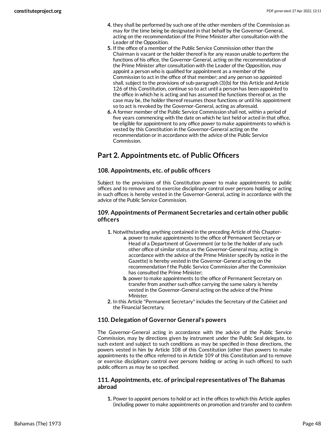- **4.** they shall be performed by such one of the other members of the Commission as may for the time being be designated in that behalf by the Governor-General, acting on the recommendation of the Prime Minister after consultation with the Leader of the Opposition.
- **5.** If the office of a member of the Public Service Commission other than the Chairman is vacant or the holder thereof is for any reason unable to perform the functions of his office, the Governor-General, acting on the recommendation of the Prime Minister after consultation with the Leader of the Opposition, may appoint a person who is qualified for appointment as a member of the Commission to act in the office of that member; and any person so appointed shall, subject to the provisions of sub-paragraph (3)(b) for this Article and Article 126 of this Constitution, continue so to act until a person has been appointed to the office in which he is acting and has assumed the functions thereof or, as the case may be, the holder thereof resumes those functions or until his appointment so to act is revoked by the Governor-General, acting as aforesaid.
- **6.** A former member of the Public Service Commission shall not, within a period of five years commencing with the date on which he last held or acted in that office, be eligible for appointment to any office power to make appointments to which is vested by this Constitution in the Governor-General acting on the recommendation or in accordance with the advice of the Public Service Commission.

### <span id="page-47-0"></span>**Part 2. Appointments etc. of Public Officers**

#### **108. Appointments, etc. of public officers**

Subject to the provisions of this Constitution power to make appointments to public offices and to remove and to exercise disciplinary control over persons holding or acting in such offices is hereby vested in the Governor-General, acting in accordance with the advice of the Public Service Commission.

#### **109. Appointments of Permanent Secretaries and certain other public officers**

- **1.** Notwithstanding anything contained in the preceding Article of this Chapter
	- **a.** power to make appointments to the office of Permanent Secretary or Head of a Department of Government (or to be the holder of any such other office of similar status as the Governor-General may, acting in accordance with the advice of the Prime Minister specify by notice in the Gazette) is hereby vested in the Governor-General acting on the recommendation f the Public Service Commission after the Commission has consulted the Prime Minister;
	- **b.** power to make appointments to the office of Permanent Secretary on transfer from another such office carrying the same salary is hereby vested in the Governor-General acting on the advice of the Prime Minister.
- **2.** In this Article "Permanent Secretary" includes the Secretary of the Cabinet and the Financial Secretary.

#### **110. Delegation of Governor General's powers**

The Governor-General acting in accordance with the advice of the Public Service Commission, may by directions given by instrument under the Public Seal delegate, to such extent and subject to such conditions as may be specified in those directions, the powers vested in him by Article 108 of this Constitution (other than powers to make appointments to the office referred to in Article 109 of this Constitution and to remove or exercise disciplinary control over persons holding or acting in such offices) to such public officers as may be so specified.

#### **111. Appointments, etc. of principal representatives of The Bahamas abroad**

**1.** Power to appoint persons to hold or act in the offices to which this Article applies (including power to make appointments on promotion and transfer and to confirm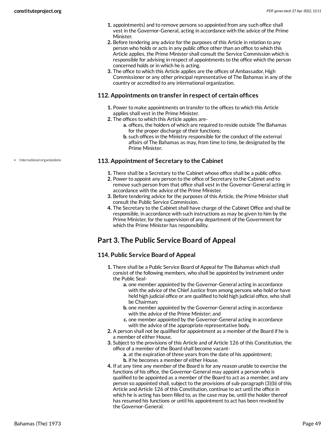- **1.** appointments) and to remove persons so appointed from any such office shall vest in the Governor-General, acting in accordance with the advice of the Prime **Minister**
- **2.** Before tendering any advice for the purposes of this Article in relation to any person who holds or acts in any public office other than an office to which this Article applies, the Prime Minister shall consult the Service Commission which is responsible for advising in respect of appointments to the office which the person concerned holds or in which he is acting.
- **3.** The office to which this Article applies are the offices of Ambassador, High Commissioner or any other principal representative of The Bahamas in any of the country or accredited to any international organization.

#### **112. Appointments on transfer in respect of certain offices**

- **1.** Power to make appointments on transfer to the offices to which this Article applies shall vest in the Prime Minister.
- **2.** The offices to which this Article apples are
	- **a.** offices, the holders of which are required to reside outside The Bahamas for the proper discharge of their functions;
	- **b.** such offices in the Ministry responsible for the conduct of the external affairs of The Bahamas as may, from time to time, be designated by the Prime Minister.

#### <span id="page-48-1"></span>**113. Appointment of Secretary to the Cabinet**

- **1.** There shall be a Secretary to the Cabinet whose office shall be a public office.
- **2.** Power to appoint any person to the office of Secretary to the Cabinet and to remove such person from that office shall vest in the Governor-General acting in accordance with the advice of the Prime Minister.
- **3.** Before tendering advice for the purposes of this Article, the Prime Minister shall consult the Public Service Commission.
- **4.** The Secretary to the Cabinet shall have charge of the Cabinet Office and shall be responsible, in accordance with such instructions as may be given to him by the Prime Minister, for the supervision of any department of the Government for which the Prime Minister has responsibility.

### <span id="page-48-0"></span>**Part 3. The Public Service Board of Appeal**

#### **114. Public Service Board of Appeal**

- **1.** There shall be a Public Service Board of Appeal for The Bahamas which shall consist of the following members, who shall be appointed by instrument under the Public Seal
	- **a.** one member appointed by the Governor-General acting in accordance with the advice of the Chief Justice from among persons who hold or have held high judicial office or are qualified to hold high judicial office, who shall be Chairman;
	- **b.** one member appointed by the Governor-General acting in accordance with the advice of the Prime Minister; and
	- **c.** one member appointed by the Governor-General acting in accordance with the advice of the appropriate representative body.
- **2.** A person shall not be qualified for appointment as a member of the Board if he is a member of either House.
- **3.** Subject to the provisions of this Article and of Article 126 of this Constitution, the office of a member of the Board shall become vacant
	- **a.** at the expiration of three years from the date of his appointment;
	- **b.** if he becomes a member of either House.
- **4.** If at any time any member of the Board is for any reason unable to exercise the functions of his office, the Governor-General may appoint a person who is qualified to be appointed as a member of the Board to act as a member, and any person so appointed shall, subject to the provisions of sub-paragraph (3)(b) of this Article and Article 126 of this Constitution, continue to act until the office in which he is acting has been filled to, as the case may be, until the holder thereof has resumed his functions or until his appointment to act has been revoked by the Governor-General.

• International organizations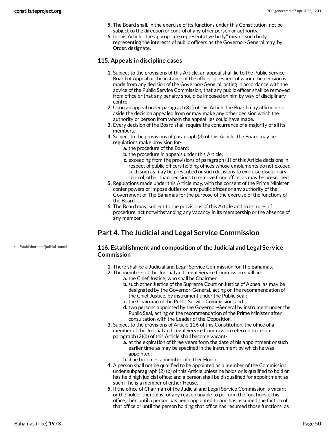- **5.** The Board shall, in the exercise of its functions under this Constitution, not be subject to the direction or control of any other person or authority.
- **6.** In this Article "the appropriate representative body" means such body representing the interests of public officers as the Governor-General may, by Order, designate.

#### **115. Appeals in discipline cases**

- **1.** Subject to the provisions of this Article, an appeal shall lie to the Public Service Board of Appeal at the instance of the officer in respect of whom the decision is made from any decision of the Governor-General, acting in accordance with the advice of the Public Service Commission, that any public officer shall be removed from office or that any penalty should be imposed on him by way of disciplinary control.
- **2.** Upon an appeal under paragraph 81) of this Article the Board may affirm or set aside the decision appealed from or may make any other decision which the authority or person from whom the appeal lies could have made.
- **3.** Every decision of the Board shall require the concurrence of a majority of all its members.
- **4.** Subject to the provisions of paragraph (3) of this Article, the Board may be regulations make provision for
	- **a.** the procedure of the Board;
	- **b.** the procedure in appeals under this Article;
	- **c.** exceeding from the provisions of paragraph (1) of this Article decisions in respect of public officers holding offices whose emoluments do not exceed such sum as may be prescribed or such decisions to exercise disciplinary control, other than decisions to remove from office, as may be prescribed.
- **5.** Regulations made under this Article may, with the consent of the Prime Minister, confer powers or impose duties on any public officer or any authority of the Government of The Bahamas for the purpose of the exercise of the functions of the Board.
- **6.** The Board may, subject to the provisions of this Article and to its rules of procedure, act notwithstanding any vacancy in its membership or the absence of any member.

### <span id="page-49-0"></span>**Part 4. The Judicial and Legal Service Commission**

Establishment of judicial council

#### <span id="page-49-1"></span>**116. Establishment and composition of the Judicial and Legal Service Commission**

- **1.** There shall be a Judicial and Legal Service Commission for The Bahamas.
- **2.** The members of the Judicial and Legal Service Commission shall be
	- **a.** the Chief Justice, who shall be Chairmen;
		- **b.** such other Justice of the Supreme Court or Justice of Appeal as may be designated by the Governor-General, acting on the recommendation of the Chief Justice, by instrument under the Public Seal;
		- **c.** the Chairman of the Public Service Commission; and
		- **d.** two persons appointed by the Governor-General by instrument under the Public Seal, acting on the recommendation of the Prime Minister after consultation with the Leader of the Opposition.
- **3.** Subject to the provisions of Article 126 of this Constitution, the office of a member of the Judicial and Legal Service Commission referred to in subparagraph (2)(d) of this Article shall become vacant
	- **a.** at the expiration of three years form the date of his appointment or such earlier time as may be specified in the instrument by which he was appointed;
	- **b.** if he becomes a member of either House.
- **4.** A person shall not be qualified to be appointed as a member of the Commission under subparagraph (2) (b) of this Article unless he holds or is qualified to hold or has held high judicial office; and a person shall be disqualified for appointment as such if he is a member of either House.
- **5.** If the office of Chairman of the Judicial and Legal Service Commission is vacant or the holder thereof is for any reason unable to perform the functions of his office, then until a person has been appointed to and has assumed the faction of that office or until the person holding that office has resumed those functions, as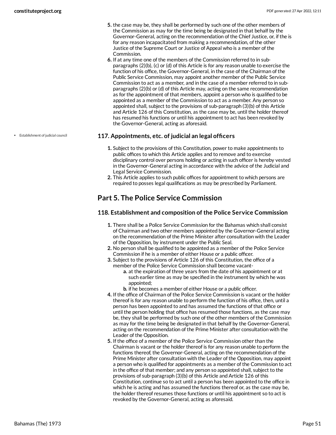- **5.** the case may be, they shall be performed by such one of the other members of the Commission as may for the time being be designated in that behalf by the Governor-General, acting on the recommendation of the Chief Justice, or, if the is for any reason incapacitated from making a recommendation, of the other Justice of the Supreme Court or Justice of Appeal who is a member of the Commission.
- **6.** If at any time one of the members of the Commission referred to in subparagraphs (2)(b), (c) or (d) of this Article is for any reason unable to exercise the function of his office, the Governor-General, in the case of the Chairman of the Public Service Commission, may appoint another member of the Public Service Commission to act as a member, and in the case of a member referred to in subparagraphs (2)(b) or (d) of this Article may, acting on the same recommendation as for the appointment of that members, appoint a person who is qualified to be appointed as a member of the Commission to act as a member. Any person so appointed shall, subject to the provisions of sub-paragraph (3)(b) of this Article and Article 126 of this Constitution, as the case may be, until the holder thereof has resumed his functions or until his appointment to act has been revoked by the Governor-General, acting as aforesaid.

#### <span id="page-50-1"></span>**117. Appointments, etc. of judicial an legal officers**

- **1.** Subject to the provisions of this Constitution, power to make appointments to public offices to which this Article applies and to remove and to exercise disciplinary control over persons holding or acting in such officer is hereby vested in the Governor-General acting in accordance with the advice of the Judicial and Legal Service Commission.
- **2.** This Article applies to such public offices for appointment to which persons are required to posses legal qualifications as may be prescribed by Parliament.

### <span id="page-50-0"></span>**Part 5. The Police Service Commission**

#### **118. Establishment and composition of the Police Service Commission**

- **1.** There shall be a Police Service Commission for the Bahamas which shall consist of Chairman and two other members appointed by the Governor-General acting on the recommendation of the Prime Minister after consultation with the Leader of the Opposition, by instrument under the Public Seal.
- **2.** No person shall be qualified to be appointed as a member of the Police Service Commission if he is a member of either House or a public officer.
- **3.** Subject to the provisions of Article 126 of this Constitution, the office of a member of the Police Service Commission shall become vacant
	- **a.** at the expiration of three years from the date of his appointment or at such earlier time as may be specified in the instrument by which he was appointed;
	- **b.** if he becomes a member of either House or a public officer.
- **4.** If the office of Chairman of the Police Service Commission is vacant or the holder thereof is for any reason unable to perform the function of his office, then, until a person has been appointed to and has assumed the functions of that office or until the person holding that office has resumed those functions, as the case may be, they shall be performed by such one of the other members of the Commission as may for the time being be designated in that behalf by the Governor-General, acting on the recommendation of the Prime Minister after consultation with the Leader of the Opposition.
- **5.** If the office of a member of the Police Service Commission other than the Chairman is vacant or the holder thereof is for any reason unable to perform the functions thereof, the Governor-General, acting on the recommendation of the Prime Minister after consultation with the Leader of the Opposition, may appoint a person who is qualified for appointments as a member of the Commission to act in the office of that member; and any person so appointed shall, subject to the provisions of sub-paragraph (3)(b) of this Article and Article 126 of this Constitution, continue so to act until a person has been appointed to the office in which he is acting and has assumed the functions thereof or, as the case may be, the holder thereof resumes those functions or until his appointment so to act is revoked by the Governor-General, acting as aforesaid.

Establishment of judicial council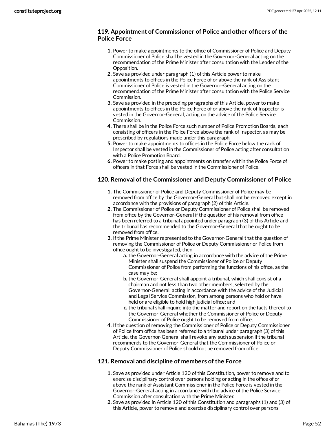#### **119. Appointment of Commissioner of Police and other officers of the Police Force**

- **1.** Power to make appointments to the office of Commissioner of Police and Deputy Commissioner of Police shall be vested in the Governor-General acting on the recommendation of the Prime Minister after consultation with the Leader of the Opposition.
- **2.** Save as provided under paragraph (1) of this Article power to make appointments to offices in the Police Force of or above the rank of Assistant Commissioner of Police is vested in the Governor-General acting on the recommendation of the Prime Minister after consultation with the Police Service Commission.
- **3.** Save as provided in the preceding paragraphs of this Article, power to make appointments to offices in the Police Force of or above the rank of Inspector is vested in the Governor-General, acting on the advice of the Police Service Commission.
- **4.** There shall be in the Police Force such number of Police Promotion Boards, each consisting of officers in the Police Force above the rank of Inspector, as may be prescribed by regulations made under this paragraph.
- **5.** Power to make appointments to offices in the Police Force below the rank of Inspector shall be vested in the Commissioner of Police acting after consultation with a Police Promotion Board.
- **6.** Power to make posting and appointments on transfer within the Police Force of officers in that Force shall be vested in the Commissioner of Police.

#### **120. Removal of the Commissioner and Deputy Commissioner of Police**

- **1.** The Commissioner of Police and Deputy Commissioner of Police may be removed from office by the Governor-General but shall not be removed except in accordance with the provisions of paragraph (2) of this Article.
- **2.** The Commissioner of Police or Deputy Commissioner of Police shall be removed from office by the Governor-General if the question of his removal from office has been referred to a tribunal appointed under paragraph (3) of this Article and the tribunal has recommended to the Governor-General that he ought to be removed from office.
- **3.** If the Prime Minister represented to the Governor-General that the question of removing the Commissioner of Police or Deputy Commissioner or Police from office ought to be investigated, then
	- **a.** the Governor-General acting in accordance with the advice of the Prime Minister shall suspend the Commissioner of Police or Deputy Commissioner of Police from performing the functions of his office, as the case may be;
	- **b.** the Governor-General shall appoint a tribunal, which shall consist of a chairman and not less than two other members, selected by the Governor-General, acting in accordance with the advice of the Judicial and Legal Service Commission, from among persons who hold or have held or are eligible to hold high judicial office; and
	- **c.** the tribunal shall inquire into the matter and report on the facts thereof to the Governor-General whether the Commissioner of Police or Deputy Commissioner of Police ought to be removed from office.
- **4.** If the question of removing the Commissioner of Police or Deputy Commissioner of Police from office has been referred to a tribunal under paragraph (3) of this Article, the Governor-General shall revoke any such suspension if the tribunal recommends to the Governor-General that the Commissioner of Police or Deputy Commissioner of Police should not be removed from office.

#### **121. Removal and discipline of members of the Force**

- **1.** Save as provided under Article 120 of this Constitution, power to remove and to exercise disciplinary control over persons holding or acting in the office of or above the rank of Assistant Commissioner in the Police Force is vested in the Governor-General acting in accordance with the advice of the Police Service Commission after consultation with the Prime Minister.
- **2.** Save as provided in Article 120 of this Constitution and paragraphs (1) and (3) of this Article, power to remove and exercise disciplinary control over persons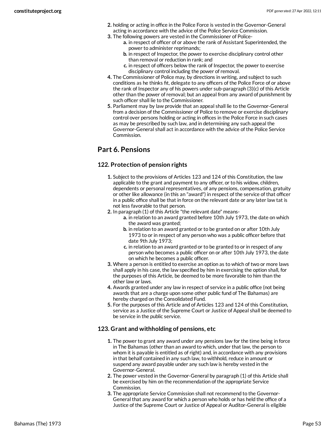- **2.** holding or acting in office in the Police Force is vested in the Governor-General acting in accordance with the advice of the Police Service Commission.
- **3.** The following powers are vested in the Commissioner of Police
	- **a.** in respect of officer of or above the rank of Assistant Superintended, the power to administer reprimands;
	- **b.** in respect of Inspector, the power to exercise disciplinary control other than removal or reduction in rank; and
	- **c.** in respect of officers below the rank of Inspector, the power to exercise disciplinary control including the power of removal.
- **4.** The Commissioner of Police may, by directions in writing, and subject to such conditions as he thinks fit, delegate to any officers of the Police Force of or above the rank of Inspector any of his powers under sub-paragraph (3)(c) of this Article other than the power of removal; but an appeal from any award of punishment by such officer shall lie to the Commissioner.
- **5.** Parliament may by law provide that an appeal shall lie to the Governor-General from a decision of the Commissioner of Police to remove or exercise disciplinary control over persons holding or acting in offices in the Police Force in such cases as may be prescribed by such law, and in determining any such appeal the Governor-General shall act in accordance with the advice of the Police Service Commission.

### <span id="page-52-0"></span>**Part 6. Pensions**

#### **122. Protection of pension rights**

- **1.** Subject to the provisions of Articles 123 and 124 of this Constitution, the law applicable to the grant and payment to any officer, or to his widow, children, dependents or personal representatives, of any pensions, compensation, gratuity or other like allowance (in this an "award") in respect of the service of that officer in a public office shall be that in force on the relevant date or any later law tat is not less favorable to that person.
- **2.** In paragraph (1) of this Article "the relevant date" means
	- **a.** in relation to an award granted before 10th July 1973, the date on which the award was granted;
	- **b.** in relation to an award granted or to be granted on or after 10th July 1973 to or in respect of any person who was a public officer before that date 9th July 1973;
	- **c.** in relation to an award granted or to be granted to or in respect of any person who becomes a public officer on or after 10th July 1973, the date on which he becomes a public officer.
- **3.** Where a person is entitled to exercise an option as to which of two or more laws shall apply in his case, the law specified by him in exercising the option shall, for the purposes of this Article, be deemed to be more favorable to him than the other law or laws.
- **4.** Awards granted under any law in respect of service in a public office (not being awards that are a charge upon some other public fund of The Bahamas) are hereby charged on the Consolidated Fund.
- **5.** For the purposes of this Article and of Articles 123 and 124 of this Constitution, service as a Justice of the Supreme Court or Justice of Appeal shall be deemed to be service in the public service.

#### **123. Grant and withholding of pensions, etc**

- **1.** The power to grant any award under any pensions law for the time being in force in The Bahamas (other than an award to which, under that law, the person to whom it is payable is entitled as of right) and, in accordance with any provisions in that behalf contained in any such law, to withhold, reduce in amount or suspend any award payable under any such law is hereby vested in the Governor-General.
- **2.** The power vested in the Governor-General by paragraph (1) of this Article shall be exercised by him on the recommendation of the appropriate Service Commission.
- **3.** The appropriate Service Commission shall not recommend to the Governor-General that any award for which a person who holds or has held the office of a Justice of the Supreme Court or Justice of Appeal or Auditor-General is eligible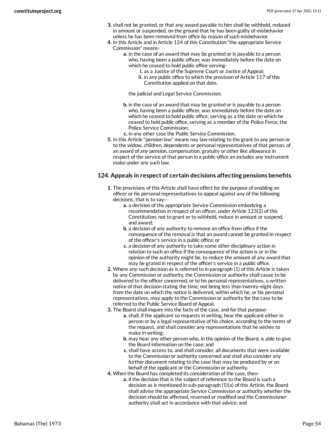- **3.** shall not be granted, or that any award payable to him shall be withheld, reduced in amount or suspended, on the ground that he has been guilty of misbehavior unless he has been removed from office by reason of such misbehavior.
- **4.** In this Article and in Article 124 of this Constitution "the appropriate Service Commission" means
	- **a.** in the case of an award that may be granted or is payable to a person who, having been a public officer, was immediately before the date on which he ceased to hold public office serving
		- **i.** as a Justice of the Supreme Court or Justice of Appeal;
		- **ii.** in any public office to which the provision of Article 117 of this Constitution applied on that date,

the judicial and Legal Service Commission;

- **b.** in the case of an award that may be granted or is payable to a person who, having been a public officer, was immediately before the date on which he ceased to hold public office, serving as a the date on which he ceased to hold public office, serving as a member of the Police Force, the Police Service Commission;
- **c.** in any other case the Public Service Commission.
- **5.** In this Article "pension law" means nay law relating to the grant to any person or to the widow, children, dependents or personal representatives of that person, of an award of any pension, compensation, gratuity or other like allowance in respect of the service of that person in a public office an includes any instrument make under any such law.

#### **124. Appeals in respect of certain decisions affecting pensions benefits**

- **1.** The provisions of this Article shall have effect for the purpose of enabling an officer or his personal representatives to appeal against any of the following decisions, that is to say:
	- **a.** a decision of the appropriate Service Commission embodying a recommendation in respect of an officer, under Article 123(2) of this Constitution, not to grant or to withhold, reduce in amount or suspend, and award;
	- **b.** a decision of any authority to remove an office from office if the consequence of the removal is that an award cannot be granted in respect of the officer's service in a public office; or
	- **c.** a decision of any authority to take some other disciplinary action in relation to such an office if the consequence of the action is or in the opinion of the authority might be, to reduce the amount of any award that may be grated in respect of the officer's service in a public office.
- **2.** Where any such decision as is referred to in paragraph (1) of this Article is taken by any Commission or authority, the Commission or authority shall cause to be delivered to the officer concerned, or to his personal representatives, a written notice of that decision stating the time, not being less than twenty-eight days from the date on which the notice is delivered, within which he, or his personal representatives, may apply to the Commission or authority for the case to be referred to the Public Service Board of Appeal.
- **3.** The Board shall inquire into the facts of the case, and for that purpose
	- **a.** shall, if the applicant so requests in writing, hear the applicant either in person or by a legal representative of his choice, according to the terms of the request, and shall consider any representations that he wishes to make in writing;
	- **b.** may hear any other person who, in the opinion of the Board, is able to give the Board information on the case; and
	- **c.** shall have access to, and shall consider, all documents that were available to the Commission or authority concerned and shall also consider any further document relating to the case that may be produced by or on behalf of the applicant or the Commission or authority.
- **4.** When the Board has completed its consideration of the case, then
	- **a.** if the decision that is the subject of reference to the Board is such a decision as is mentioned in sub-paragraph (1)(a) of this Article, the Board shall advise the appropriate Service Commission or authority whether the decision should be affirmed, reversed or modified and the Commissioner authority shall act in accordance with that advice; and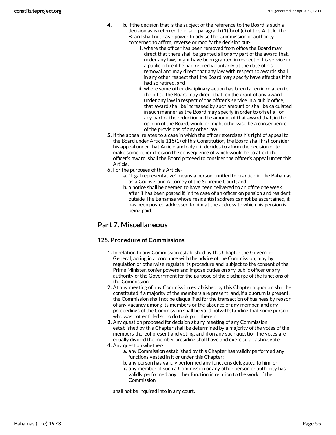- **4. b.** if the decision that is the subject of the reference to the Board is such a decision as is referred to in sub-paragraph (1)(b) of (c) of this Article, the Board shall not have power to advise the Commission or authority concerned to affirm, reverse or modify the decision but
	- **i.** where the officer has been removed from office the Board may direct that there shall be granted all or any part of the award that, under any law, might have been granted in respect of his service in a public office if he had retired voluntarily at the date of his removal and may direct that any law with respect to awards shall in any other respect that the Board may specify have effect as if he had so retired, and
	- **ii.** where some other disciplinary action has been taken in relation to the office the Board may direct that, on the grant of any award under any law in respect of the officer's service in a public office, that award shall be increased by such amount or shall be calculated in such manner as the Board may specify in order to offset all or any part of the reduction in the amount of that award that, in the opinion of the Board, would or might otherwise be a consequence of the provisions of any other law.
- **5.** If the appeal relates to a case in which the officer exercises his right of appeal to the Board under Article 115(1) of this Constitution, the Board shall first consider his appeal under that Article and only if it decides to affirm the decision or to make some other decision the consequence of which would be to affect the officer's award, shall the Board proceed to consider the officer's appeal under this Article.
- **6.** For the purposes of this Article
	- **a.** "legal representative" means a person entitled to practice in The Bahamas as a Counsel and Attorney of the Supreme Court; and
	- **b.** a notice shall be deemed to have been delivered to an office one week after it has been posted if, in the case of an officer on pension and resident outside The Bahamas whose residential address cannot be ascertained, it has been posted addressed to him at the address to which his pension is being paid.

### <span id="page-54-0"></span>**Part 7. Miscellaneous**

#### **125. Procedure of Commissions**

- **1.** In relation to any Commission established by this Chapter the Governor-General, acting in accordance with the advice of the Commission, may by regulation or otherwise regulate its procedure and, subject to the consent of the Prime Minister, confer powers and impose duties on any public officer or any authority of the Government for the purpose of the discharge of the functions of the Commission.
- **2.** At any meeting of any Commission established by this Chapter a quorum shall be constituted if a majority of the members are present; and, if a quorum is present, the Commission shall not be disqualified for the transaction of business by reason of any vacancy among its members or the absence of any member, and any proceedings of the Commission shall be valid notwithstanding that some person who was not entitled so to do took part therein.
- **3.** Any question proposed for decision at any meeting of any Commission established by this Chapter shall be determined by a majority of the votes of the members thereof present and voting, and if on any such question the votes are equally divided the member presiding shall have and exercise a casting vote.
- **4.** Any question whether
	- **a.** any Commission established by this Chapter has validly performed any functions vested in it or under this Chapter;
	- **b.** any person has validly performed any functions delegated to him; or
	- **c.** any member of such a Commission or any other person or authority has validly performed any other function in relation to the work of the Commission,

shall not be inquired into in any court.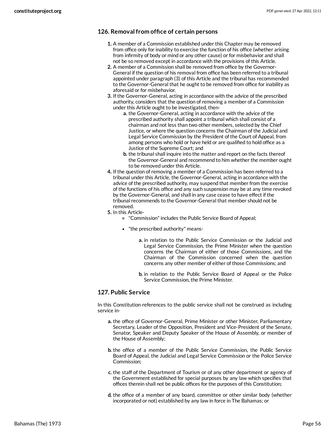#### **126. Removal from office of certain persons**

- **1.** A member of a Commission established under this Chapter may be removed from office only for inability to exercise the function of his office (whether arising from infirmity of body or mind or any other cause) or for misbehavior and shall not be so removed except in accordance with the provisions of this Article.
- **2.** A member of a Commission shall be removed from office by the Governor-General if the question of his removal from office has been referred to a tribunal appointed under paragraph (3) of this Article and the tribunal has recommended to the Governor-General that he ought to be removed from office for inability as aforesaid or for misbehavior.
- **3.** If the Governor-General, acting in accordance with the advice of the prescribed authority, considers that the question of removing a member of a Commission under this Article ought to be investigated, then
	- **a.** the Governor-General, acting in accordance with the advice of the prescribed authority shall appoint a tribunal which shall consist of a chairman and not less than two other members, selected by the Chief Justice, or where the question concerns the Chairman of the Judicial and Legal Service Commission by the President of the Court of Appeal, from among persons who hold or have held or are qualified to hold office as a Justice of the Supreme Court; and
	- **b.** the tribunal shall inquire into the matter and report on the facts thereof the Governor-General and recommend to him whether the member ought to be removed under this Article.
- **4.** If the question of removing a member of a Commission has been referred to a tribunal under this Article, the Governor-General, acting in accordance with the advice of the prescribed authority, may suspend that member from the exercise of the functions of his office and any such suspension may be at any time revoked by the Governor-General, and shall in any case cease to have effect if the tribunal recommends to the Governor-General that member should not be removed.
- **5.** In this Article-
	- "Commission" includes the Public Service Board of Appeal;
	- "the prescribed authority" means
		- **a.** in relation to the Public Service Commission or the Judicial and Legal Service Commission, the Prime Minister when the question concerns the Chairman of either of those Commissions, and the Chairman of the Commission concerned when the question concerns any other member of either of those Commissions; and
		- **b.** in relation to the Public Service Board of Appeal or the Police Service Commission, the Prime Minister.

#### **127. Public Service**

In this Constitution references to the public service shall not be construed as including service in-

- **a.** the office of Governor-General, Prime Minister or other Minister, Parliamentary Secretary, Leader of the Opposition, President and Vice-President of the Senate, Senator, Speaker and Deputy Speaker of the House of Assembly, or member of the House of Assembly;
- **b.** the office of a member of the Public Service Commission, the Public Service Board of Appeal, the Judicial and Legal Service Commission or the Police Service Commission;
- **c.** the staff of the Department of Tourism or of any other department or agency of the Government established for special purposes by any law which specifies that offices therein shall not be public offices for the purposes of this Constitution;
- **d.** the office of a member of any board, committee or other similar body (whether incorporated or not) established by any law in force in The Bahamas; or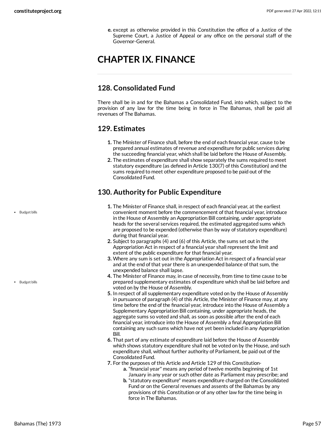**e.** except as otherwise provided in this Constitution the office of a Justice of the Supreme Court, a Justice of Appeal or any office on the personal staff of the Governor-General.

## <span id="page-56-0"></span>**CHAPTER IX. FINANCE**

### <span id="page-56-1"></span>**128. Consolidated Fund**

There shall be in and for the Bahamas a Consolidated Fund, into which, subject to the provision of any law for the time being in force in The Bahamas, shall be paid all revenues of The Bahamas.

### <span id="page-56-2"></span>**129. Estimates**

- **1.** The Minister of Finance shall, before the end of each financial year, cause to be prepared annual estimates of revenue and expenditure for public services during the succeeding financial year, which shall be laid before the House of Assembly.
- **2.** The estimates of expenditure shall show separately the sums required to meet statutory expenditure (as defined in Article 130(7) of this Constitution) and the sums required to meet other expenditure proposed to be paid out of the Consolidated Fund.

### <span id="page-56-3"></span>**130. Authority for Public Expenditure**

- **1.** The Minister of Finance shall, in respect of each financial year, at the earliest convenient moment before the commencement of that financial year, introduce in the House of Assembly an Appropriation Bill containing, under appropriate heads for the several services required, the estimated aggregated sums which are proposed to be expended (otherwise than by way of statutory expenditure) during that financial year.
- **2.** Subject to paragraphs (4) and (6) of this Article, the sums set out in the Appropriation Act in respect of a financial year shall represent the limit and extent of the public expenditure for that financial year.
- **3.** Where any sum is set out in the Appropriation Act in respect of a financial year and at the end of that year there is an unexpended balance of that sum, the unexpended balance shall lapse.
- **4.** The Minister of Finance may, in case of necessity, from time to time cause to be prepared supplementary estimates of expenditure which shall be laid before and voted on by the House of Assembly.
- **5.** In respect of all supplementary expenditure voted on by the House of Assembly in pursuance of paragraph (4) of this Article, the Minister of Finance may, at any time before the end of the financial year, introduce into the House of Assembly a Supplementary Appropriation Bill containing, under appropriate heads, the aggregate sums so voted and shall, as soon as possible after the end of each financial year, introduce into the House of Assembly a final Appropriation Bill containing any such sums which have not yet been included in any Appropriation Bill.
- **6.** That part of any estimate of expenditure laid before the House of Assembly which shows statutory expenditure shall not be voted on by the House, and such expenditure shall, without further authority of Parliament, be paid out of the Consolidated Fund.
- **7.** For the purposes of this Article and Article 129 of this Constitution
	- **a.** "financial year" means any period of twelve months beginning of 1st January in any year or such other date as Parliament may prescribe; and
	- **b.** "statutory expenditure" means expenditure charged on the Consolidated Fund or on the General revenues and assents of the Bahamas by any provisions of this Constitution or of any other law for the time being in force in The Bahamas.

• Budget bills

• Budget bills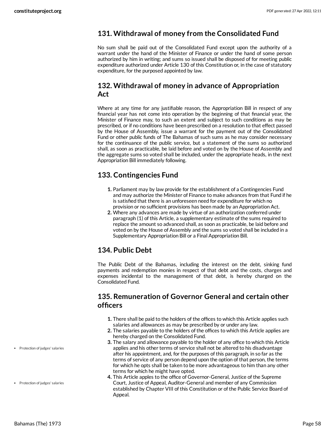### <span id="page-57-0"></span>**131. Withdrawal of money from the Consolidated Fund**

No sum shall be paid out of the Consolidated Fund except upon the authority of a warrant under the hand of the Minister of Finance or under the hand of some person authorized by him in writing; and sums so issued shall be disposed of for meeting public expenditure authorized under Article 130 of this Constitution or, in the case of statutory expenditure, for the purposed appointed by law.

### <span id="page-57-1"></span>**132. Withdrawal of money in advance of Appropriation Act**

Where at any time for any justifiable reason, the Appropriation Bill in respect of any financial year has not come into operation by the beginning of that financial year, the Minister of Finance may, to such an extent and subject to such conditions as may be prescribed, or if no conditions have been prescribed on a resolution to that effect passed by the House of Assembly, issue a warrant for the payment out of the Consolidated Fund or other public funds of The Bahamas of such sums as he may consider necessary for the continuance of the public service, but a statement of the sums so authorized shall, as soon as practicable, be laid before and voted on by the House of Assembly and the aggregate sums so voted shall be included, under the appropriate heads, in the next Appropriation Bill immediately following.

### <span id="page-57-2"></span>**133. Contingencies Fund**

- **1.** Parliament may by law provide for the establishment of a Contingencies Fund and may authorize the Minister of Finance to make advances from that Fund if he is satisfied that there is an unforeseen need for expenditure for which no provision or no sufficient provisions has been made by an Appropriation Act.
- **2.** Where any advances are made by virtue of an authorization conferred under paragraph (1) of this Article, a supplementary estimate of the sums required to replace the amount so advanced shall, as soon as practicable, be laid before and voted on by the House of Assembly and the sums so voted shall be included in a Supplementary Appropriation Bill or a Final Appropriation Bill.

### <span id="page-57-3"></span>**134. Public Debt**

The Public Debt of the Bahamas, including the interest on the debt, sinking fund payments and redemption monies in respect of that debt and the costs, charges and expenses incidental to the management of that debt, is hereby charged on the Consolidated Fund.

### <span id="page-57-4"></span>**135. Remuneration of Governor General and certain other officers**

- **1.** There shall be paid to the holders of the offices to which this Article applies such salaries and allowances as may be prescribed by or under any law.
- **2.** The salaries payable to the holders of the offices to which this Article applies are hereby charged on the Consolidated Fund.
- **3.** The salary and allowance payable to the holder of any office to which this Article applies and his other terms of service shall not be altered to his disadvantage after his appointment, and, for the purposes of this paragraph, in so far as the terms of service of any person depend upon the option of that person, the terms for which he opts shall be taken to be more advantageous to him than any other terms for which he might have opted.
- **4.** This Article apples to the office of Governor-General, Justice of the Supreme Court, Justice of Appeal, Auditor-General and member of any Commission established by Chapter VIII of this Constitution or of the Public Service Board of Appeal.

• Protection of judges' salaries

• Protection of judges' salaries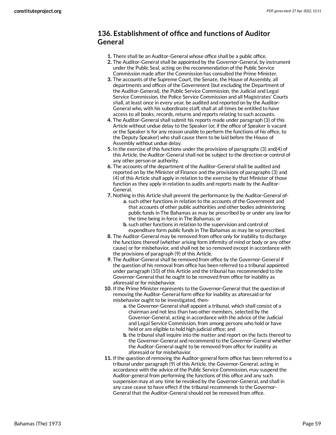### <span id="page-58-0"></span>**136. Establishment of office and functions of Auditor General**

- **1.** There shall be an Auditor-General whose office shall be a public office.
- **2.** The Auditor-General shall be appointed by the Governor-General, by instrument under the Public Seal, acting on the recommendation of the Public Service Commission made after the Commission has consulted the Prime Minister.
- **3.** The accounts of the Supreme Court, the Senate, the House of Assembly, all departments and offices of the Government (but excluding the Department of the Auditor-General), the Public Service Commission, the Judicial and Legal Service Commission, the Police Service Commission and all Magistrates' Courts shall, at least once in every year, be audited and reported on by the Auditor-General who, with his subordinate staff, shall at all times be entitled to have access to all books, records, returns and reports relating to such accounts.
- **4.** The Auditor-General shall submit his reports made under paragraph (3) of this Article without undue delay to the Speaker (or, if the office of Speaker is vacant or the Speaker is for any reason unable to perform the functions of his office, to the Deputy Speaker) who shall cause them to be laid before the House of Assembly without undue delay.
- **5.** In the exercise of this functions under the provisions of paragraphs (3) and(4) of this Article, the Auditor-General shall not be subject to the direction or control of any other person or authority.
- **6.** The accounts of the department of the Auditor-General shall be audited and reported on by the Minister of Finance and the provisions of paragraphs (3) and (4) of this Article shall apply in relation to the exercise by that Minister of those function as they apply in relation to audits and reports made by the Auditor-General.
- **7.** Nothing in this Article shall prevent the performance by the Auditor-General of
	- **a.** such other functions in relation to the accounts of the Government and that accounts of other public authorities and other bodies administering public funds in The Bahamas as may be prescribed by or under any law for the time being in force in The Bahamas; or
	- **b.** such other functions in relation to the supervision and control of expenditure form public funds in The Bahamas as may be so prescribed.
- **8.** The Auditor-General may be removed from office only for inability to discharge the functions thereof (whether arising form infirmity of mind or body or any other cause) or for misbehavior, and shall not be so removed except in accordance with the provisions of paragraph (9) of this Article.
- **9.** The Auditor-General shall be removed from office by the Governor-General if the question of his removal from office has been referred to a tribunal appointed under paragraph (10) of this Article and the tribunal has recommended to the Governor-General that he ought to be removed from office for inability as aforesaid or for misbehavior.
- **10.** If the Prime Minister represents to the Governor-General that the question of removing the Auditor-General form office for inability as aforesaid or for misbehavior ought to be investigated, then
	- **a.** the Governor-General shall appoint a tribunal, which shall consist of a chairman and not less than two other members, selected by the Governor-General, acting in accordance with the advice of the Judicial and Legal Service Commission, from among persons who hold or have held or are eligible to hold high judicial office; and
	- **b.** the tribunal shall inquire into the matter and report on the facts thereof to the Governor-General and recommend to the Governor-General whether the Auditor-General ought to be removed from office for inability as aforesaid or for misbehavior.
- **11.** If the question of removing the Auditor-general form office has been referred to a tribunal under paragraph (9) of this Article, the Governor-General, acting in accordance with the advice of the Public Service Commission, may suspend the Auditor-general from performing the functions of this office and any such suspension may at any time be revoked by the Governor-General, and shall in any case cease to have effect if the tribunal recommends to the Governor-General that the Auditor-General should not be removed from office.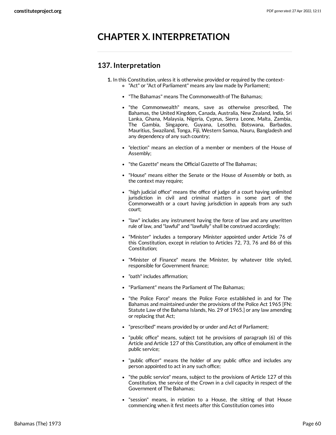## <span id="page-59-0"></span>**CHAPTER X. INTERPRETATION**

### <span id="page-59-1"></span>**137. Interpretation**

- **1.** In this Constitution, unless it is otherwise provided or required by the context- "Act" or "Act of Parliament" means any law made by Parliament;
	- "The Bahamas" means The Commonwealth of The Bahamas;
	- "the Commonwealth" means, save as otherwise prescribed, The Bahamas, the United Kingdom, Canada, Australia, New Zealand, India, Sri Lanka, Ghana, Malaysia, Nigeria, Cyprus, Sierra Leone, Malta, Zambia, The Gambia, Singapore, Guyana, Lesotho, Botswana, Barbados, Mauritius, Swaziland, Tonga, Fiji, Western Samoa, Nauru, Bangladesh and any dependency of any such country;
	- "election" means an election of a member or members of the House of Assembly;
	- "the Gazette" means the Official Gazette of The Bahamas;
	- "House" means either the Senate or the House of Assembly or both, as the context may require;
	- "high judicial office" means the office of judge of a court having unlimited jurisdiction in civil and criminal matters in some part of the Commonwealth or a court having jurisdiction in appeals from any such court;
	- "law" includes any instrument having the force of law and any unwritten rule of law, and "lawful" and "lawfully" shall be construed accordingly;
	- "Minister" includes a temporary Minister appointed under Article 76 of this Constitution, except in relation to Articles 72, 73, 76 and 86 of this Constitution;
	- "Minister of Finance" means the Minister, by whatever title styled, responsible for Government finance;
	- "oath" includes affirmation;
	- "Parliament" means the Parliament of The Bahamas;
	- "the Police Force" means the Police Force established in and for The Bahamas and maintained under the provisions of the Police Act 1965 [FN: Statute Law of the Bahama Islands, No. 29 of 1965.] or any law amending or replacing that Act;
	- "prescribed" means provided by or under and Act of Parliament;
	- "public office" means, subject tot he provisions of paragraph (6) of this Article and Article 127 of this Constitution, any office of emolument in the public service;
	- "public officer" means the holder of any public office and includes any person appointed to act in any such office;
	- "the public service" means, subject to the provisions of Article 127 of this Constitution, the service of the Crown in a civil capacity in respect of the Government of The Bahamas;
	- "session" means, in relation to a House, the sitting of that House commencing when it first meets after this Constitution comes into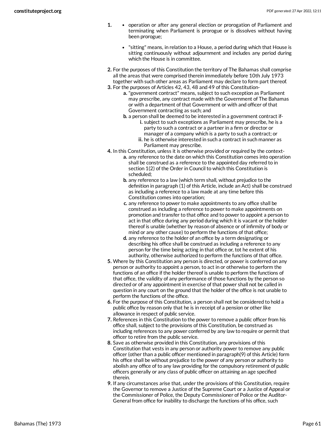- **1.** operation or after any general election or prorogation of Parliament and terminating when Parliament is prorogue or is dissolves without having been prorogue;
	- "sitting" means, in relation to a House, a period during which that House is sitting continuously without adjournment and includes any period during which the House is in committee.
- **2.** For the purposes of this Constitution the territory of The Bahamas shall comprise all the areas that were comprised therein immediately before 10th July 1973 together with such other areas as Parliament may declare to form part thereof.
- **3.** For the purposes of Articles 42, 43, 48 and 49 of this Constitution
	- **a.** "government contract" means, subject to such exception as Parliament may prescribe, any contract made with the Government of The Bahamas or with a department of that Government or with and officer of that Government contracting as such; and
		- **b.** a person shall be deemed to be interested in a government contract if**i.** subject to such exceptions as Parliament may prescribe, he is a party to such a contract or a partner in a firm or director or manager of a company which is a party to such a contract; or
			- **ii.** he is otherwise interested in such a contract in such manner as Parliament may prescribe.
- **4.** In this Constitution, unless it is otherwise provided or required by the context
	- **a.** any reference to the date on which this Constitution comes into operation shall be construed as a reference to the appointed day referred to in section 1(2) of the Order in Council to which this Constitution is scheduled;
	- **b.** any reference to a law (which term shall, without prejudice to the definition in paragraph (1) of this Article, include an Act) shall be construed as including a reference to a law made at any time before this Constitution comes into operation;
	- **c.** any reference to power to make appointments to any office shall be construed as including a reference to power to make appointments on promotion and transfer to that office and to power to appoint a person to act in that office during any period during which it is vacant or the holder thereof is unable (whether by reason of absence or of infirmity of body or mind or any other cause) to perform the functions of that office;
	- **d.** any reference to the holder of an office by a term designating or describing his office shall be construed as including a reference to any person for the time being acting in that office or, tot he extent of his authority, otherwise authorized to perform the functions of that office.
- **5.** Where by this Constitution any person is directed, or power is conferred on any person or authority to appoint a person, to act in or otherwise to perform the functions of an office if the holder thereof is unable to perform the functions of that office, the validity of any performance of those functions by the person so directed or of any appointment in exercise of that power shall not be called in question in any court on the ground that the holder of the office is not unable to perform the functions of the office.
- **6.** For the purpose of this Constitution, a person shall not be considered to hold a public office by reason only that he is in receipt of a pension or other like allowance in respect of public service.
- **7.** References in this Constitution to the power to remove a public officer from his office shall, subject to the provisions of this Constitution, be construed as including references to any power conferred by any law to require or permit that officer to retire from the public service.
- **8.** Save as otherwise provided in this Constitution, any provisions of this Constitution that vests in any person or authority power to remove any public officer (other than a public officer mentioned in paragraph(9) of this Article) form his office shall be without prejudice to the power of any person or authority to abolish any office of to any law providing for the compulsory retirement of public officers generally or any class of public officer on attaining an age specified therein.
- **9.** If any circumstances arise that, under the provisions of this Constitution, require the Governor to remove a Justice of the Supreme Court or a Justice of Appeal or the Commissioner of Police, the Deputy Commissioner of Police or the Auditor-General from office for inability to discharge the functions of his office, such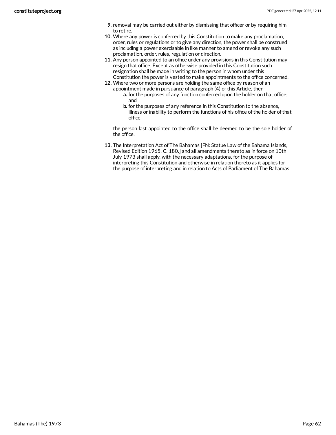- **9.** removal may be carried out either by dismissing that officer or by requiring him to retire.
- **10.** Where any power is conferred by this Constitution to make any proclamation, order, rules or regulations or to give any direction, the power shall be construed as including a power exercisable in like manner to amend or revoke any such proclamation, order, rules, regulation or direction.
- **11.** Any person appointed to an office under any provisions in this Constitution may resign that office. Except as otherwise provided in this Constitution such resignation shall be made in writing to the person in whom under this Constitution the power is vested to make appointments to the office concerned.
- **12.** Where two or more persons are holding the same office by reason of an appointment made in pursuance of paragraph (4) of this Article, then
	- **a.** for the purposes of any function conferred upon the holder on that office; and
	- **b.** for the purposes of any reference in this Constitution to the absence, illness or inability to perform the functions of his office of the holder of that office,

the person last appointed to the office shall be deemed to be the sole holder of the office.

**13.** The Interpretation Act of The Bahamas [FN: Statue Law of the Bahama Islands, Revised Edition 1965, C. 180.] and all amendments thereto as in force on 10th July 1973 shall apply, with the necessary adaptations, for the purpose of interpreting this Constitution and otherwise in relation thereto as it applies for the purpose of interpreting and in relation to Acts of Parliament of The Bahamas.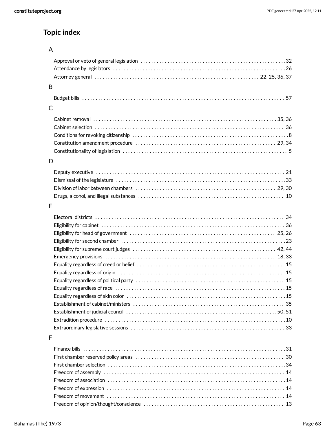## **Topic index**

### A

| B |  |
|---|--|
|   |  |
| C |  |
|   |  |
|   |  |
|   |  |
|   |  |
|   |  |
| D |  |
|   |  |
|   |  |
|   |  |
|   |  |
| E |  |
|   |  |
|   |  |
|   |  |
|   |  |
|   |  |
|   |  |
|   |  |
|   |  |
|   |  |
|   |  |
|   |  |
|   |  |
|   |  |
|   |  |
|   |  |

### F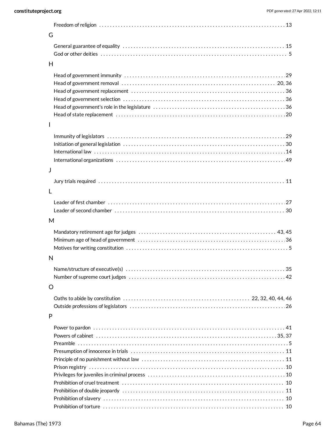| G |  |
|---|--|
|   |  |
|   |  |
| H |  |
|   |  |
|   |  |
|   |  |
|   |  |
|   |  |
|   |  |
|   |  |
|   |  |
|   |  |
|   |  |
|   |  |
|   |  |
| J |  |
|   |  |
|   |  |
| L |  |
|   |  |
|   |  |
| M |  |
|   |  |
|   |  |
|   |  |
| N |  |
|   |  |
|   |  |
|   |  |
| O |  |
|   |  |
|   |  |
| P |  |
|   |  |
|   |  |
|   |  |
|   |  |
|   |  |
|   |  |
|   |  |
|   |  |
|   |  |
|   |  |
|   |  |
|   |  |